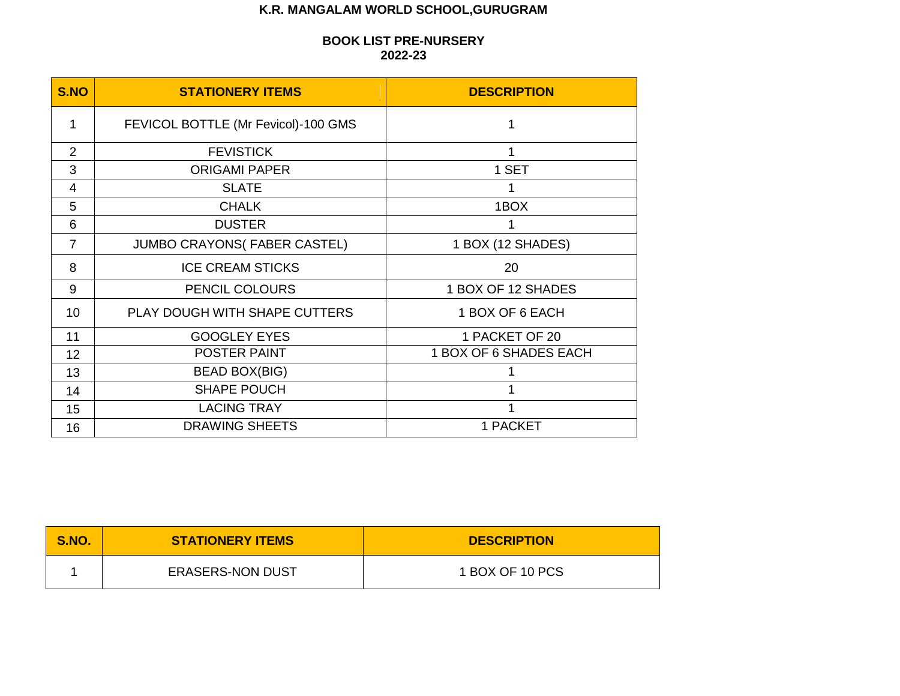# **K.R. MANGALAM WORLD SCHOOL,GURUGRAM**

## **BOOK LIST PRE-NURSERY 2022-23**

| S.NO           | <b>STATIONERY ITEMS</b>             | <b>DESCRIPTION</b>     |
|----------------|-------------------------------------|------------------------|
| 1              | FEVICOL BOTTLE (Mr Fevicol)-100 GMS | 1                      |
| $\overline{2}$ | <b>FEVISTICK</b>                    | 1                      |
| 3              | <b>ORIGAMI PAPER</b>                | 1 SET                  |
| 4              | <b>SLATE</b>                        |                        |
| 5              | <b>CHALK</b>                        | 1BOX                   |
| 6              | <b>DUSTER</b>                       |                        |
| $\overline{7}$ | <b>JUMBO CRAYONS(FABER CASTEL)</b>  | 1 BOX (12 SHADES)      |
| 8              | <b>ICE CREAM STICKS</b>             | 20                     |
| 9              | PENCIL COLOURS                      | 1 BOX OF 12 SHADES     |
| 10             | PLAY DOUGH WITH SHAPE CUTTERS       | 1 BOX OF 6 EACH        |
| 11             | <b>GOOGLEY EYES</b>                 | 1 PACKET OF 20         |
| 12             | <b>POSTER PAINT</b>                 | 1 BOX OF 6 SHADES EACH |
| 13             | <b>BEAD BOX(BIG)</b>                |                        |
| 14             | <b>SHAPE POUCH</b>                  |                        |
| 15             | <b>LACING TRAY</b>                  |                        |
| 16             | <b>DRAWING SHEETS</b>               | 1 PACKET               |

| S.NO. | <b>STATIONERY ITEMS</b> | <b>DESCRIPTION</b> |
|-------|-------------------------|--------------------|
|       | <b>ERASERS-NON DUST</b> | 1 BOX OF 10 PCS    |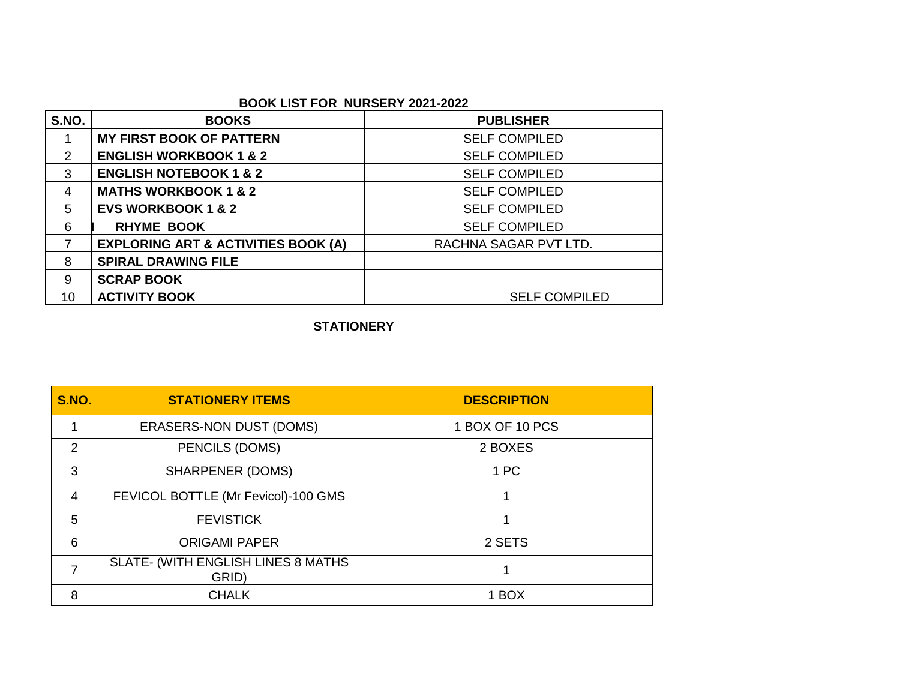## **BOOK LIST FOR NURSERY 2021-2022**

| S.NO. | <b>BOOKS</b>                                   | <b>PUBLISHER</b>      |
|-------|------------------------------------------------|-----------------------|
|       | <b>MY FIRST BOOK OF PATTERN</b>                | <b>SELF COMPILED</b>  |
| 2     | <b>ENGLISH WORKBOOK 1 &amp; 2</b>              | <b>SELF COMPILED</b>  |
| 3     | <b>ENGLISH NOTEBOOK 1 &amp; 2</b>              | <b>SELF COMPILED</b>  |
| 4     | <b>MATHS WORKBOOK 1 &amp; 2</b>                | <b>SELF COMPILED</b>  |
| 5     | <b>EVS WORKBOOK 1 &amp; 2</b>                  | <b>SELF COMPILED</b>  |
| 6     | <b>RHYME BOOK</b>                              | <b>SELF COMPILED</b>  |
| 7     | <b>EXPLORING ART &amp; ACTIVITIES BOOK (A)</b> | RACHNA SAGAR PVT LTD. |
| 8     | <b>SPIRAL DRAWING FILE</b>                     |                       |
| 9     | <b>SCRAP BOOK</b>                              |                       |
| 10    | <b>ACTIVITY BOOK</b>                           | <b>SELF COMPILED</b>  |

## **STATIONERY**

| <b>S.NO.</b>  | <b>STATIONERY ITEMS</b>                     | <b>DESCRIPTION</b> |
|---------------|---------------------------------------------|--------------------|
|               | <b>ERASERS-NON DUST (DOMS)</b>              | 1 BOX OF 10 PCS    |
| $\mathcal{P}$ | <b>PENCILS (DOMS)</b>                       | 2 BOXES            |
| 3             | <b>SHARPENER (DOMS)</b>                     | 1 PC               |
| 4             | FEVICOL BOTTLE (Mr Fevicol)-100 GMS         |                    |
| 5             | <b>FEVISTICK</b>                            |                    |
| 6             | <b>ORIGAMI PAPER</b>                        | 2 SETS             |
|               | SLATE- (WITH ENGLISH LINES 8 MATHS<br>GRID) |                    |
| 8             | <b>CHALK</b>                                | 1 BOX              |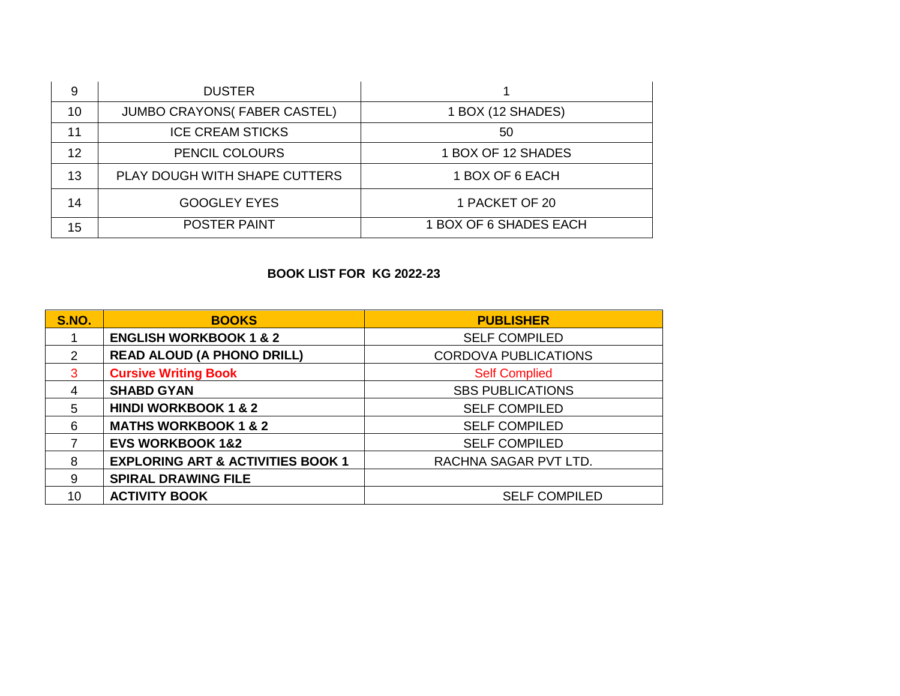| 9  | <b>DUSTER</b>                       |                        |
|----|-------------------------------------|------------------------|
| 10 | <b>JUMBO CRAYONS (FABER CASTEL)</b> | 1 BOX (12 SHADES)      |
| 11 | <b>ICE CREAM STICKS</b>             | 50                     |
| 12 | PENCIL COLOURS                      | 1 BOX OF 12 SHADES     |
| 13 | PLAY DOUGH WITH SHAPE CUTTERS       | 1 BOX OF 6 EACH        |
| 14 | <b>GOOGLEY EYES</b>                 | 1 PACKET OF 20         |
| 15 | <b>POSTER PAINT</b>                 | 1 BOX OF 6 SHADES EACH |

# **BOOK LIST FOR KG 2022-23**

| <b>S.NO.</b> | <b>BOOKS</b>                                 | <b>PUBLISHER</b>            |
|--------------|----------------------------------------------|-----------------------------|
|              | <b>ENGLISH WORKBOOK 1 &amp; 2</b>            | <b>SELF COMPILED</b>        |
| 2            | <b>READ ALOUD (A PHONO DRILL)</b>            | <b>CORDOVA PUBLICATIONS</b> |
| 3            | <b>Cursive Writing Book</b>                  | <b>Self Complied</b>        |
| 4            | <b>SHABD GYAN</b>                            | <b>SBS PUBLICATIONS</b>     |
| 5            | <b>HINDI WORKBOOK 1 &amp; 2</b>              | <b>SELF COMPILED</b>        |
| 6            | <b>MATHS WORKBOOK 1 &amp; 2</b>              | <b>SELF COMPILED</b>        |
|              | <b>EVS WORKBOOK 1&amp;2</b>                  | <b>SELF COMPILED</b>        |
| 8            | <b>EXPLORING ART &amp; ACTIVITIES BOOK 1</b> | RACHNA SAGAR PVT LTD.       |
| 9            | <b>SPIRAL DRAWING FILE</b>                   |                             |
| 10           | <b>ACTIVITY BOOK</b>                         | <b>SELF COMPILED</b>        |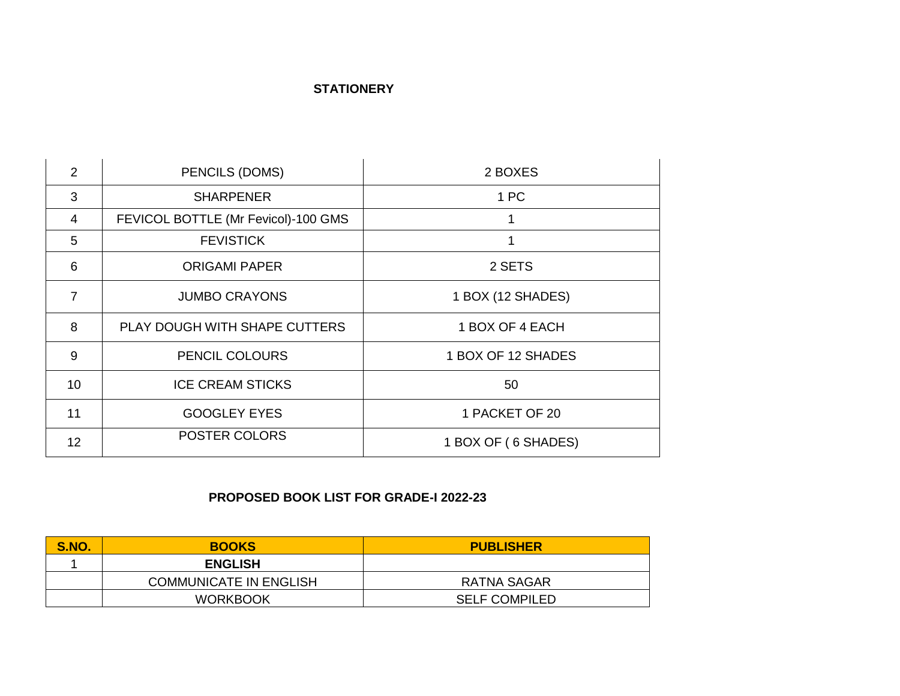## **STATIONERY**

| $\overline{2}$  | PENCILS (DOMS)                      | 2 BOXES             |
|-----------------|-------------------------------------|---------------------|
| 3               | <b>SHARPENER</b>                    | 1 PC                |
| 4               | FEVICOL BOTTLE (Mr Fevicol)-100 GMS |                     |
| 5               | <b>FEVISTICK</b>                    |                     |
| 6               | <b>ORIGAMI PAPER</b>                | 2 SETS              |
| $\overline{7}$  | <b>JUMBO CRAYONS</b>                | 1 BOX (12 SHADES)   |
| 8               | PLAY DOUGH WITH SHAPE CUTTERS       | 1 BOX OF 4 EACH     |
| 9               | <b>PENCIL COLOURS</b>               | 1 BOX OF 12 SHADES  |
| 10 <sup>1</sup> | <b>ICE CREAM STICKS</b>             | 50                  |
| 11              | <b>GOOGLEY EYES</b>                 | 1 PACKET OF 20      |
| 12 <sup>2</sup> | <b>POSTER COLORS</b>                | 1 BOX OF (6 SHADES) |

# **PROPOSED BOOK LIST FOR GRADE-I 2022-23**

| <b>S.NO.</b> | <b>BOOKS</b>                  | <b>PUBLISHER</b>     |
|--------------|-------------------------------|----------------------|
|              | <b>ENGLISH</b>                |                      |
|              | <b>COMMUNICATE IN ENGLISH</b> | RATNA SAGAR          |
|              | <b>WORKBOOK</b>               | <b>SELF COMPILED</b> |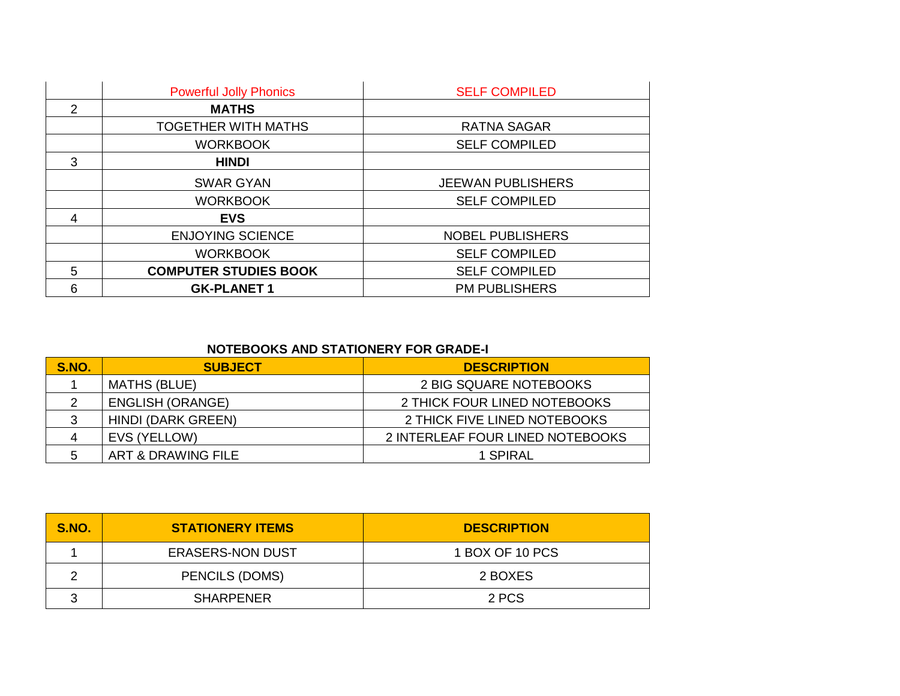|   | <b>Powerful Jolly Phonics</b> | <b>SELF COMPILED</b>     |
|---|-------------------------------|--------------------------|
| 2 | <b>MATHS</b>                  |                          |
|   | <b>TOGETHER WITH MATHS</b>    | <b>RATNA SAGAR</b>       |
|   | <b>WORKBOOK</b>               | <b>SELF COMPILED</b>     |
| 3 | <b>HINDI</b>                  |                          |
|   | <b>SWAR GYAN</b>              | <b>JEEWAN PUBLISHERS</b> |
|   | <b>WORKBOOK</b>               | <b>SELF COMPILED</b>     |
| 4 | <b>EVS</b>                    |                          |
|   | <b>ENJOYING SCIENCE</b>       | <b>NOBEL PUBLISHERS</b>  |
|   | <b>WORKBOOK</b>               | <b>SELF COMPILED</b>     |
| 5 | <b>COMPUTER STUDIES BOOK</b>  | <b>SELF COMPILED</b>     |
| 6 | <b>GK-PLANET 1</b>            | <b>PM PUBLISHERS</b>     |

## **NOTEBOOKS AND STATIONERY FOR GRADE-I**

| S.NO. | <b>SUBJECT</b>          | <b>DESCRIPTION</b>               |
|-------|-------------------------|----------------------------------|
|       | <b>MATHS (BLUE)</b>     | 2 BIG SQUARE NOTEBOOKS           |
|       | <b>ENGLISH (ORANGE)</b> | 2 THICK FOUR LINED NOTEBOOKS     |
| 3     | HINDI (DARK GREEN)      | 2 THICK FIVE LINED NOTEBOOKS     |
|       | EVS (YELLOW)            | 2 INTERLEAF FOUR LINED NOTEBOOKS |
|       | ART & DRAWING FILE      | 1 SPIRAL                         |

| S.NO. | <b>STATIONERY ITEMS</b> | <b>DESCRIPTION</b> |
|-------|-------------------------|--------------------|
|       | <b>ERASERS-NON DUST</b> | 1 BOX OF 10 PCS    |
|       | PENCILS (DOMS)          | 2 BOXES            |
|       | <b>SHARPENER</b>        | 2 PCS              |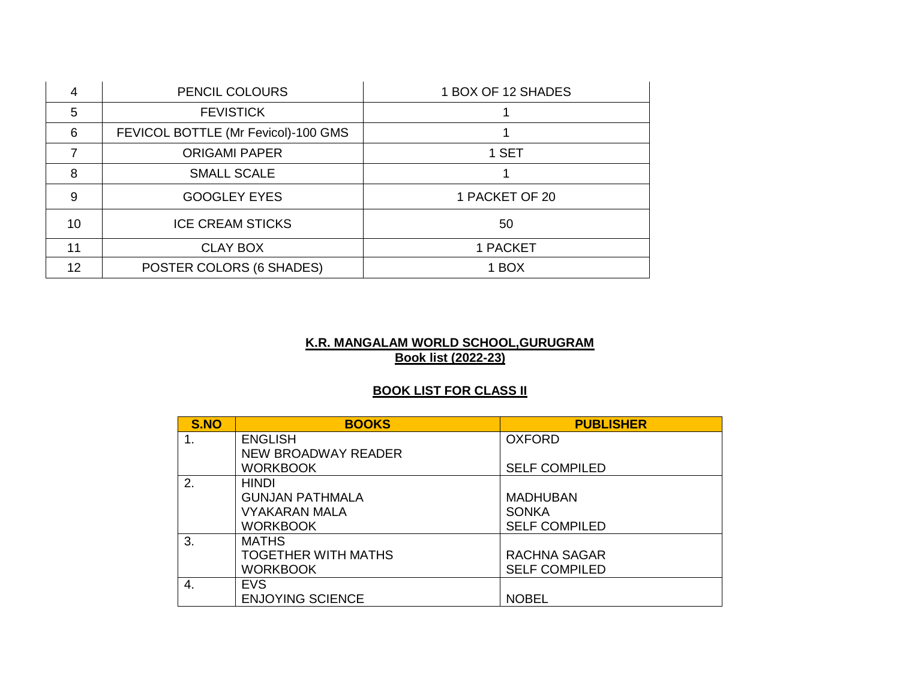|    | PENCIL COLOURS                      | 1 BOX OF 12 SHADES |
|----|-------------------------------------|--------------------|
| 5  | <b>FEVISTICK</b>                    |                    |
| 6  | FEVICOL BOTTLE (Mr Fevicol)-100 GMS |                    |
|    | <b>ORIGAMI PAPER</b>                | 1 SET              |
| 8  | <b>SMALL SCALE</b>                  |                    |
| 9  | <b>GOOGLEY EYES</b>                 | 1 PACKET OF 20     |
| 10 | <b>ICE CREAM STICKS</b>             | 50                 |
| 11 | <b>CLAY BOX</b>                     | 1 PACKET           |
| 12 | POSTER COLORS (6 SHADES)            | 1 BOX              |

## **K.R. MANGALAM WORLD SCHOOL,GURUGRAM Book list (2022-23)**

# **BOOK LIST FOR CLASS II**

| S.NO | <b>BOOKS</b>               | <b>PUBLISHER</b>     |
|------|----------------------------|----------------------|
| 1.   | <b>ENGLISH</b>             | <b>OXFORD</b>        |
|      | NEW BROADWAY READER        |                      |
|      | <b>WORKBOOK</b>            | <b>SELF COMPILED</b> |
| 2.   | <b>HINDI</b>               |                      |
|      | <b>GUNJAN PATHMALA</b>     | <b>MADHUBAN</b>      |
|      | <b>VYAKARAN MALA</b>       | <b>SONKA</b>         |
|      | <b>WORKBOOK</b>            | <b>SELF COMPILED</b> |
| 3.   | <b>MATHS</b>               |                      |
|      | <b>TOGETHER WITH MATHS</b> | <b>RACHNA SAGAR</b>  |
|      | <b>WORKBOOK</b>            | <b>SELF COMPILED</b> |
| 4.   | <b>EVS</b>                 |                      |
|      | <b>ENJOYING SCIENCE</b>    | <b>NOBEL</b>         |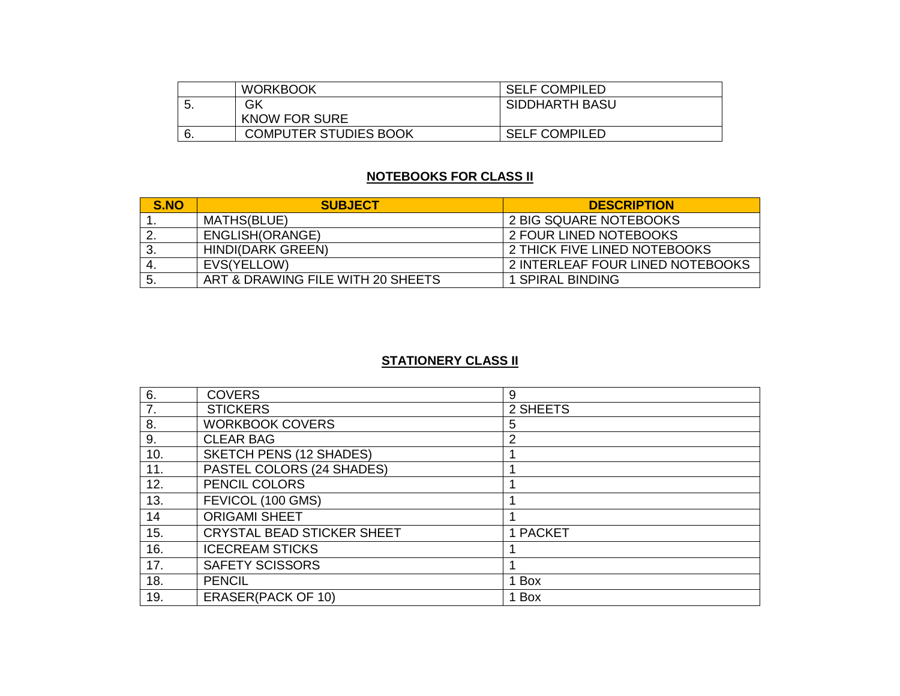|    | <b>WORKBOOK</b>              | <b>SELF COMPILED</b>  |
|----|------------------------------|-----------------------|
| J. | GK                           | <b>SIDDHARTH BASU</b> |
|    | <b>KNOW FOR SURE</b>         |                       |
| 6. | <b>COMPUTER STUDIES BOOK</b> | <b>SELF COMPILED</b>  |

# **NOTEBOOKS FOR CLASS II**

| S.NO | <b>SUBJECT</b>                    | <b>DESCRIPTION</b>               |
|------|-----------------------------------|----------------------------------|
|      | MATHS(BLUE)                       | 2 BIG SQUARE NOTEBOOKS           |
| 2    | ENGLISH(ORANGE)                   | 2 FOUR LINED NOTEBOOKS           |
| 3.   | <b>HINDI(DARK GREEN)</b>          | 2 THICK FIVE LINED NOTEBOOKS     |
| -4.  | EVS(YELLOW)                       | 2 INTERLEAF FOUR LINED NOTEBOOKS |
| -5.  | ART & DRAWING FILE WITH 20 SHEETS | 1 SPIRAL BINDING                 |

# **STATIONERY CLASS II**

| 6.  | <b>COVERS</b>                     | 9              |
|-----|-----------------------------------|----------------|
| 7.  | <b>STICKERS</b>                   | 2 SHEETS       |
| 8.  | <b>WORKBOOK COVERS</b>            | 5              |
| 9.  | <b>CLEAR BAG</b>                  | $\overline{2}$ |
| 10. | <b>SKETCH PENS (12 SHADES)</b>    |                |
| 11. | PASTEL COLORS (24 SHADES)         |                |
| 12. | PENCIL COLORS                     |                |
| 13. | FEVICOL (100 GMS)                 |                |
| 14  | <b>ORIGAMI SHEET</b>              |                |
| 15. | <b>CRYSTAL BEAD STICKER SHEET</b> | 1 PACKET       |
| 16. | <b>ICECREAM STICKS</b>            |                |
| 17. | <b>SAFETY SCISSORS</b>            |                |
| 18. | <b>PENCIL</b>                     | 1 Box          |
| 19. | <b>ERASER(PACK OF 10)</b>         | 1 Box          |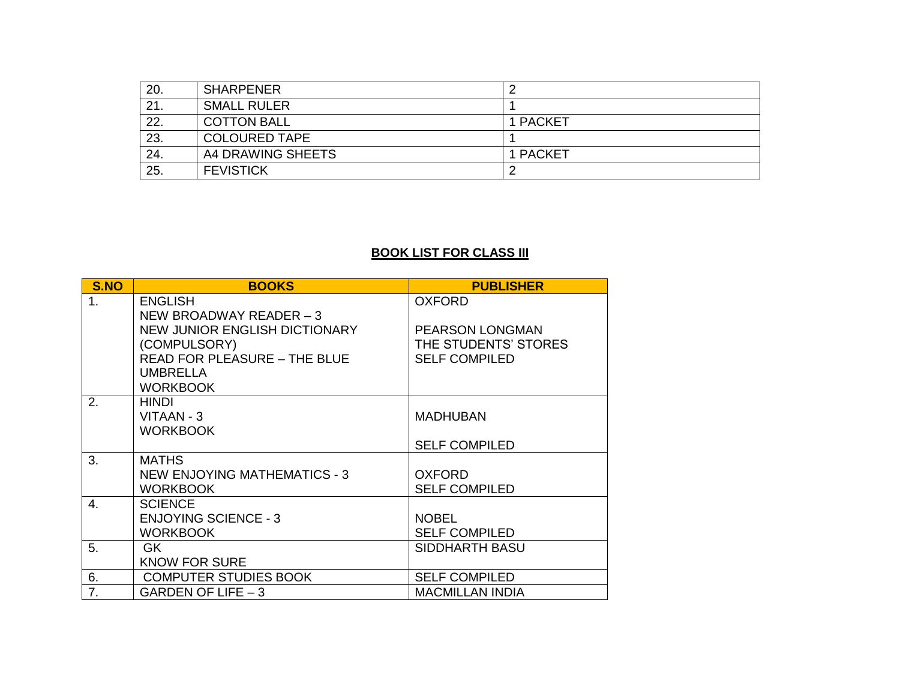| 20. | <b>SHARPENER</b>     |          |
|-----|----------------------|----------|
| 21. | <b>SMALL RULER</b>   |          |
| 22. | <b>COTTON BALL</b>   | 1 PACKET |
| 23. | <b>COLOURED TAPE</b> |          |
| 24. | A4 DRAWING SHEETS    | 1 PACKET |
| 25. | <b>FEVISTICK</b>     |          |

# **BOOK LIST FOR CLASS III**

| S.NO             | <b>BOOKS</b>                         | <b>PUBLISHER</b>       |
|------------------|--------------------------------------|------------------------|
| 1.               | <b>ENGLISH</b>                       | <b>OXFORD</b>          |
|                  | NEW BROADWAY READER $-3$             |                        |
|                  | <b>NEW JUNIOR ENGLISH DICTIONARY</b> | <b>PEARSON LONGMAN</b> |
|                  | (COMPULSORY)                         | THE STUDENTS' STORES   |
|                  | <b>READ FOR PLEASURE - THE BLUE</b>  | <b>SELF COMPILED</b>   |
|                  | <b>UMBRELLA</b>                      |                        |
|                  | <b>WORKBOOK</b>                      |                        |
| 2.               | <b>HINDI</b>                         |                        |
|                  | VITAAN - 3<br><b>WORKBOOK</b>        | <b>MADHUBAN</b>        |
|                  |                                      | <b>SELF COMPILED</b>   |
| 3.               | <b>MATHS</b>                         |                        |
|                  | <b>NEW ENJOYING MATHEMATICS - 3</b>  | <b>OXFORD</b>          |
|                  | <b>WORKBOOK</b>                      | <b>SELF COMPILED</b>   |
| $\overline{4}$ . | <b>SCIENCE</b>                       |                        |
|                  | <b>ENJOYING SCIENCE - 3</b>          | <b>NOBEL</b>           |
|                  | <b>WORKBOOK</b>                      | <b>SELF COMPILED</b>   |
| 5.               | GK.                                  | SIDDHARTH BASU         |
|                  | <b>KNOW FOR SURE</b>                 |                        |
| 6.               | <b>COMPUTER STUDIES BOOK</b>         | <b>SELF COMPILED</b>   |
| 7.               | GARDEN OF LIFE $-3$                  | <b>MACMILLAN INDIA</b> |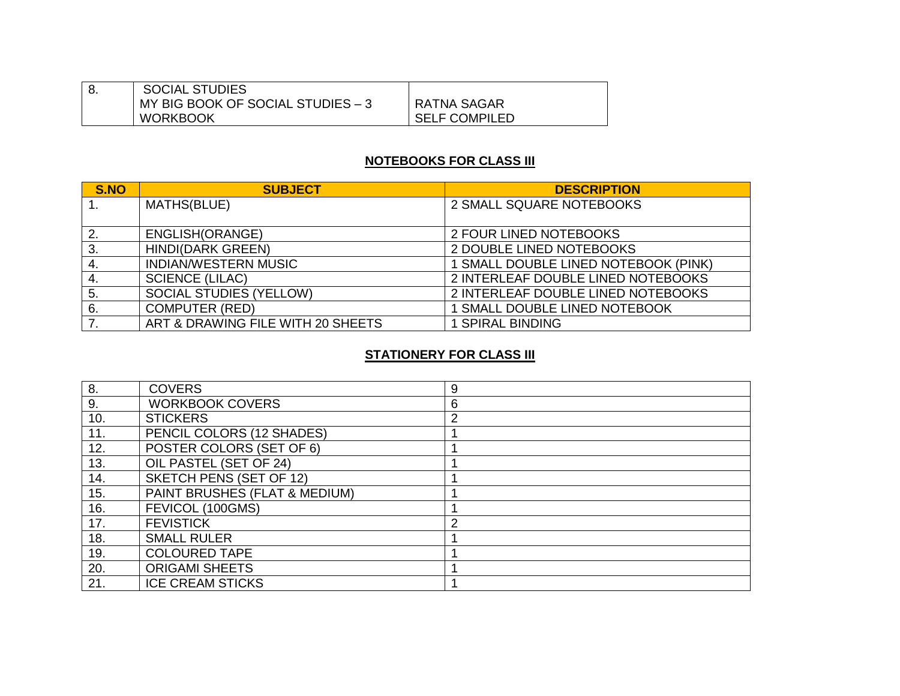| <b>SOCIAL STUDIES</b>             |                      |
|-----------------------------------|----------------------|
| MY BIG BOOK OF SOCIAL STUDIES - 3 | RATNA SAGAR          |
| <b>WORKBOOK</b>                   | <b>SELF COMPILED</b> |

# **NOTEBOOKS FOR CLASS III**

| S.NO | <b>SUBJECT</b>                    | <b>DESCRIPTION</b>                   |
|------|-----------------------------------|--------------------------------------|
|      | MATHS(BLUE)                       | 2 SMALL SQUARE NOTEBOOKS             |
|      |                                   |                                      |
| 2.   | ENGLISH(ORANGE)                   | 2 FOUR LINED NOTEBOOKS               |
| 3.   | <b>HINDI(DARK GREEN)</b>          | 2 DOUBLE LINED NOTEBOOKS             |
| 4.   | <b>INDIAN/WESTERN MUSIC</b>       | 1 SMALL DOUBLE LINED NOTEBOOK (PINK) |
| 4.   | <b>SCIENCE (LILAC)</b>            | 2 INTERLEAF DOUBLE LINED NOTEBOOKS   |
| 5.   | <b>SOCIAL STUDIES (YELLOW)</b>    | 2 INTERLEAF DOUBLE LINED NOTEBOOKS   |
| 6.   | <b>COMPUTER (RED)</b>             | 1 SMALL DOUBLE LINED NOTEBOOK        |
|      | ART & DRAWING FILE WITH 20 SHEETS | <b>1 SPIRAL BINDING</b>              |

## **STATIONERY FOR CLASS III**

| 8.  | <b>COVERS</b>                 | 9              |
|-----|-------------------------------|----------------|
| 9.  | <b>WORKBOOK COVERS</b>        | 6              |
| 10. | <b>STICKERS</b>               | $\overline{2}$ |
| 11. | PENCIL COLORS (12 SHADES)     |                |
| 12. | POSTER COLORS (SET OF 6)      |                |
| 13. | OIL PASTEL (SET OF 24)        |                |
| 14. | SKETCH PENS (SET OF 12)       |                |
| 15. | PAINT BRUSHES (FLAT & MEDIUM) |                |
| 16. | FEVICOL (100GMS)              |                |
| 17. | <b>FEVISTICK</b>              | 2              |
| 18. | <b>SMALL RULER</b>            |                |
| 19. | <b>COLOURED TAPE</b>          |                |
| 20. | <b>ORIGAMI SHEETS</b>         |                |
| 21. | <b>ICE CREAM STICKS</b>       |                |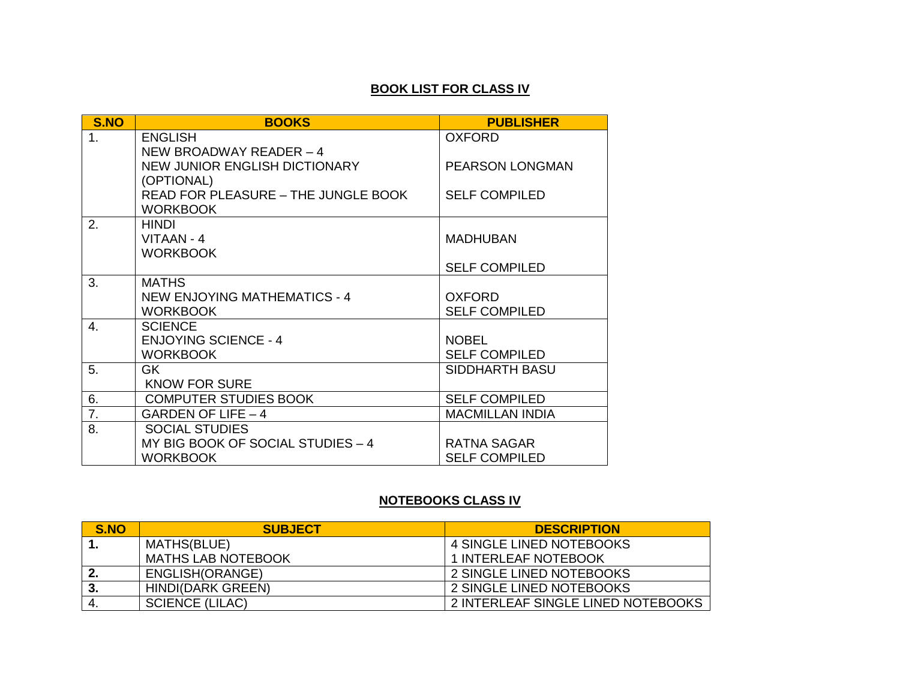## **BOOK LIST FOR CLASS IV**

| S.NO           | <b>BOOKS</b>                               | <b>PUBLISHER</b>       |
|----------------|--------------------------------------------|------------------------|
| 1 <sub>1</sub> | <b>ENGLISH</b>                             | <b>OXFORD</b>          |
|                | NEW BROADWAY READER - 4                    |                        |
|                | <b>NEW JUNIOR ENGLISH DICTIONARY</b>       | PEARSON LONGMAN        |
|                | (OPTIONAL)                                 |                        |
|                | <b>READ FOR PLEASURE - THE JUNGLE BOOK</b> | <b>SELF COMPILED</b>   |
|                | <b>WORKBOOK</b>                            |                        |
| 2.             | <b>HINDI</b>                               |                        |
|                | VITAAN - 4                                 | <b>MADHUBAN</b>        |
|                | <b>WORKBOOK</b>                            |                        |
|                |                                            | <b>SELF COMPILED</b>   |
| 3.             | <b>MATHS</b>                               |                        |
|                | <b>NEW ENJOYING MATHEMATICS - 4</b>        | <b>OXFORD</b>          |
|                | <b>WORKBOOK</b>                            | <b>SELF COMPILED</b>   |
| 4.             | <b>SCIENCE</b>                             |                        |
|                | <b>ENJOYING SCIENCE - 4</b>                | <b>NOBEL</b>           |
|                | <b>WORKBOOK</b>                            | <b>SELF COMPILED</b>   |
| 5.             | GK.                                        | SIDDHARTH BASU         |
|                | <b>KNOW FOR SURE</b>                       |                        |
| 6.             | <b>COMPUTER STUDIES BOOK</b>               | <b>SELF COMPILED</b>   |
| 7.             | GARDEN OF LIFE - 4                         | <b>MACMILLAN INDIA</b> |
| 8.             | <b>SOCIAL STUDIES</b>                      |                        |
|                | MY BIG BOOK OF SOCIAL STUDIES - 4          | <b>RATNA SAGAR</b>     |
|                | <b>WORKBOOK</b>                            | <b>SELF COMPILED</b>   |

# **NOTEBOOKS CLASS IV**

| S.NO         | <b>SUBJECT</b>            | <b>DESCRIPTION</b>                 |
|--------------|---------------------------|------------------------------------|
|              | MATHS(BLUE)               | 4 SINGLE LINED NOTEBOOKS           |
|              | <b>MATHS LAB NOTEBOOK</b> | 1 INTERLEAF NOTEBOOK               |
| $\mathbf{2}$ | ENGLISH(ORANGE)           | 2 SINGLE LINED NOTEBOOKS           |
| 3.           | <b>HINDI(DARK GREEN)</b>  | 2 SINGLE LINED NOTEBOOKS           |
| 4.           | <b>SCIENCE (LILAC)</b>    | 2 INTERLEAF SINGLE LINED NOTEBOOKS |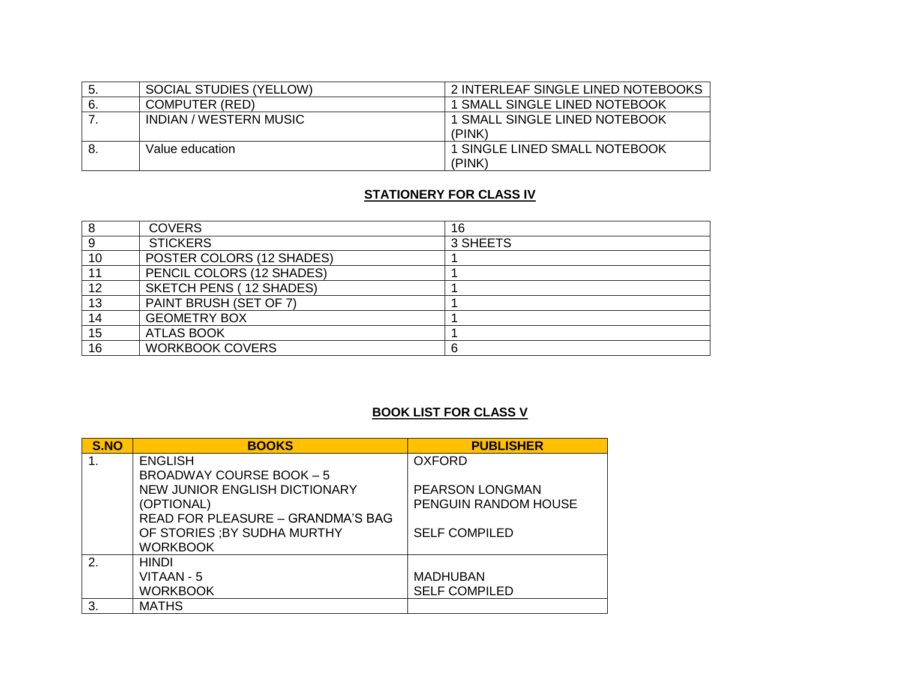| -5. | <b>SOCIAL STUDIES (YELLOW)</b> | 2 INTERLEAF SINGLE LINED NOTEBOOKS             |
|-----|--------------------------------|------------------------------------------------|
| 6.  | COMPUTER (RED)                 | 1 SMALL SINGLE LINED NOTEBOOK                  |
|     | <b>INDIAN / WESTERN MUSIC</b>  | <b>1 SMALL SINGLE LINED NOTEBOOK</b><br>(PINK) |
| 8   | Value education                | 1 SINGLE LINED SMALL NOTEBOOK<br>(PINK)        |

# **STATIONERY FOR CLASS IV**

|    | <b>COVERS</b>                  | 16       |
|----|--------------------------------|----------|
|    | <b>STICKERS</b>                | 3 SHEETS |
| 10 | POSTER COLORS (12 SHADES)      |          |
| 11 | PENCIL COLORS (12 SHADES)      |          |
| 12 | <b>SKETCH PENS (12 SHADES)</b> |          |
| 13 | PAINT BRUSH (SET OF 7)         |          |
| 14 | <b>GEOMETRY BOX</b>            |          |
| 15 | <b>ATLAS BOOK</b>              |          |
| 16 | <b>WORKBOOK COVERS</b>         | 6        |

# **BOOK LIST FOR CLASS V**

| S.NO | <b>BOOKS</b>                             | <b>PUBLISHER</b>     |
|------|------------------------------------------|----------------------|
|      | <b>ENGLISH</b>                           | <b>OXFORD</b>        |
|      | <b>BROADWAY COURSE BOOK - 5</b>          |                      |
|      | <b>NEW JUNIOR ENGLISH DICTIONARY</b>     | PEARSON LONGMAN      |
|      | (OPTIONAL)                               | PENGUIN RANDOM HOUSE |
|      | <b>READ FOR PLEASURE - GRANDMA'S BAG</b> |                      |
|      | OF STORIES ; BY SUDHA MURTHY             | <b>SELF COMPILED</b> |
|      | <b>WORKBOOK</b>                          |                      |
| 2.   | <b>HINDI</b>                             |                      |
|      | VITAAN - 5                               | <b>MADHUBAN</b>      |
|      | <b>WORKBOOK</b>                          | <b>SELF COMPILED</b> |
| 3.   | <b>MATHS</b>                             |                      |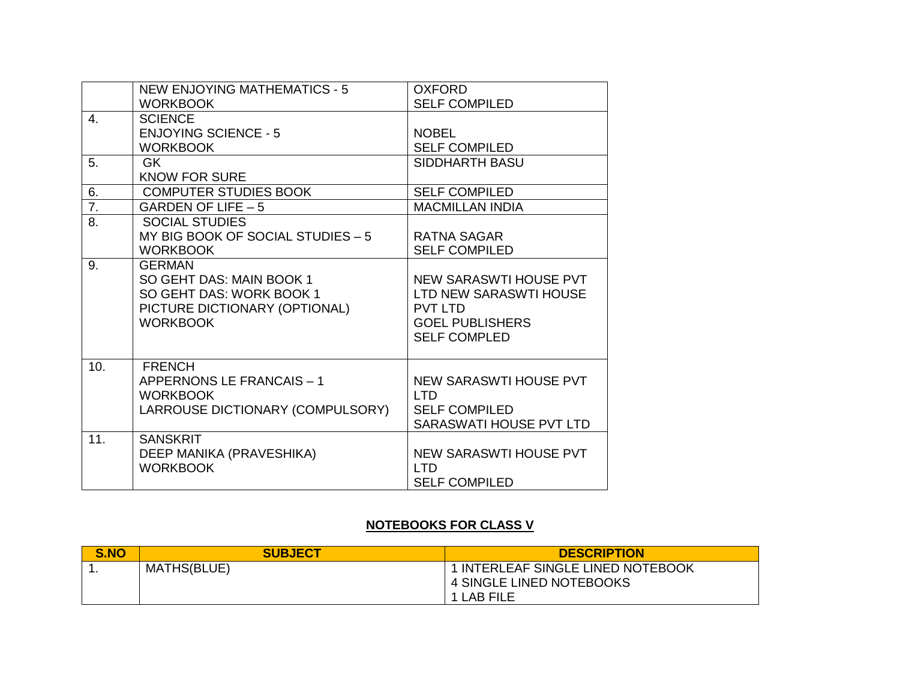|                | <b>NEW ENJOYING MATHEMATICS - 5</b><br><b>WORKBOOK</b>                                                                    | <b>OXFORD</b><br><b>SELF COMPILED</b>                                                                               |
|----------------|---------------------------------------------------------------------------------------------------------------------------|---------------------------------------------------------------------------------------------------------------------|
| $\mathbf{4}$ . | <b>SCIENCE</b><br><b>ENJOYING SCIENCE - 5</b><br><b>WORKBOOK</b>                                                          | <b>NOBEL</b><br><b>SELF COMPILED</b>                                                                                |
| 5.             | <b>GK</b><br><b>KNOW FOR SURE</b>                                                                                         | <b>SIDDHARTH BASU</b>                                                                                               |
| 6.             | <b>COMPUTER STUDIES BOOK</b>                                                                                              | <b>SELF COMPILED</b>                                                                                                |
| 7.             | GARDEN OF LIFE $-5$                                                                                                       | <b>MACMILLAN INDIA</b>                                                                                              |
| 8.             | <b>SOCIAL STUDIES</b><br>MY BIG BOOK OF SOCIAL STUDIES - 5<br><b>WORKBOOK</b>                                             | <b>RATNA SAGAR</b><br><b>SELF COMPILED</b>                                                                          |
| 9.             | <b>GERMAN</b><br>SO GEHT DAS: MAIN BOOK 1<br>SO GEHT DAS: WORK BOOK 1<br>PICTURE DICTIONARY (OPTIONAL)<br><b>WORKBOOK</b> | NEW SARASWTI HOUSE PVT<br>LTD NEW SARASWTI HOUSE<br><b>PVT LTD</b><br><b>GOEL PUBLISHERS</b><br><b>SELF COMPLED</b> |
| 10.            | <b>FRENCH</b><br>APPERNONS LE FRANCAIS - 1<br><b>WORKBOOK</b><br>LARROUSE DICTIONARY (COMPULSORY)                         | NEW SARASWTI HOUSE PVT<br><b>LTD</b><br><b>SELF COMPILED</b><br>SARASWATI HOUSE PVT LTD                             |
| 11.            | <b>SANSKRIT</b><br>DEEP MANIKA (PRAVESHIKA)<br><b>WORKBOOK</b>                                                            | NEW SARASWTI HOUSE PVT<br><b>LTD</b><br><b>SELF COMPILED</b>                                                        |

# **NOTEBOOKS FOR CLASS V**

| <b>S.NO</b> | <b>SUBJECT</b>     | <b>DESCRIPTION</b>                                                          |
|-------------|--------------------|-----------------------------------------------------------------------------|
|             | <b>MATHS(BLUE)</b> | 1 INTERLEAF SINGLE LINED NOTEBOOK<br>4 SINGLE LINED NOTEBOOKS<br>1 LAB FILE |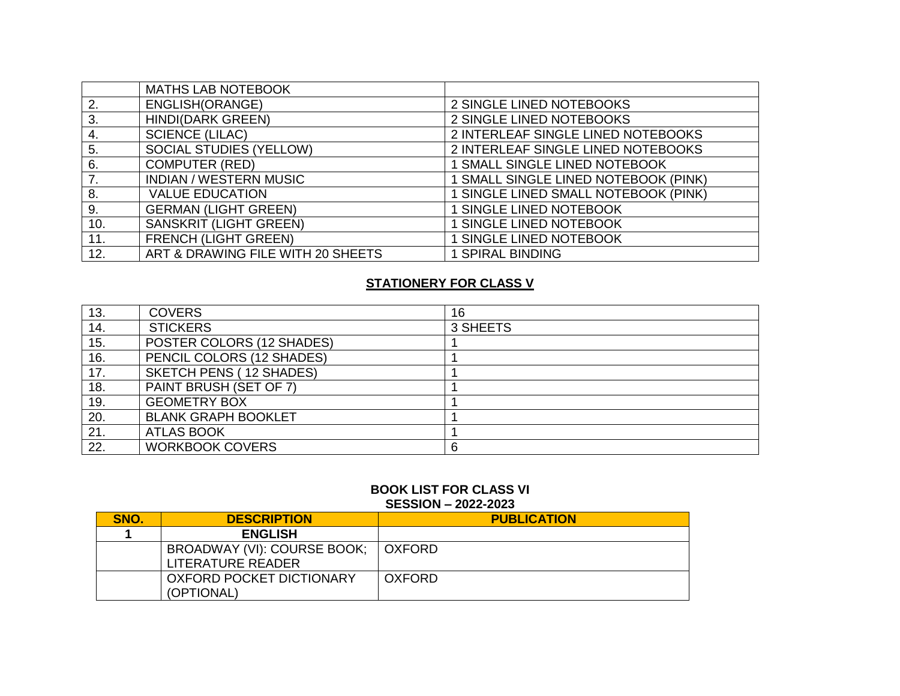|     | <b>MATHS LAB NOTEBOOK</b>         |                                      |
|-----|-----------------------------------|--------------------------------------|
| 2.  | ENGLISH(ORANGE)                   | 2 SINGLE LINED NOTEBOOKS             |
| 3.  | <b>HINDI(DARK GREEN)</b>          | 2 SINGLE LINED NOTEBOOKS             |
| 4.  | <b>SCIENCE (LILAC)</b>            | 2 INTERLEAF SINGLE LINED NOTEBOOKS   |
| 5.  | <b>SOCIAL STUDIES (YELLOW)</b>    | 2 INTERLEAF SINGLE LINED NOTEBOOKS   |
| 6.  | <b>COMPUTER (RED)</b>             | 1 SMALL SINGLE LINED NOTEBOOK        |
|     | <b>INDIAN / WESTERN MUSIC</b>     | 1 SMALL SINGLE LINED NOTEBOOK (PINK) |
| 8.  | <b>VALUE EDUCATION</b>            | 1 SINGLE LINED SMALL NOTEBOOK (PINK) |
| 9.  | <b>GERMAN (LIGHT GREEN)</b>       | <b>1 SINGLE LINED NOTEBOOK</b>       |
| 10. | <b>SANSKRIT (LIGHT GREEN)</b>     | <b>1 SINGLE LINED NOTEBOOK</b>       |
| 11. | <b>FRENCH (LIGHT GREEN)</b>       | 1 SINGLE LINED NOTEBOOK              |
| 12. | ART & DRAWING FILE WITH 20 SHEETS | <b>1 SPIRAL BINDING</b>              |

# **STATIONERY FOR CLASS V**

| 13. | <b>COVERS</b>                  | 16       |
|-----|--------------------------------|----------|
| 14. | <b>STICKERS</b>                | 3 SHEETS |
| 15. | POSTER COLORS (12 SHADES)      |          |
| 16. | PENCIL COLORS (12 SHADES)      |          |
| 17. | <b>SKETCH PENS (12 SHADES)</b> |          |
| 18. | PAINT BRUSH (SET OF 7)         |          |
| 19. | <b>GEOMETRY BOX</b>            |          |
| 20. | <b>BLANK GRAPH BOOKLET</b>     |          |
| 21. | <b>ATLAS BOOK</b>              |          |
| 22. | <b>WORKBOOK COVERS</b>         | 6        |

# **BOOK LIST FOR CLASS VI**

### **SESSION – 2022-2023**

| <b>SNO.</b> | <b>DESCRIPTION</b>          | <b>PUBLICATION</b> |
|-------------|-----------------------------|--------------------|
|             | <b>ENGLISH</b>              |                    |
|             | BROADWAY (VI): COURSE BOOK; | OXFORD             |
|             | LITERATURE READER           |                    |
|             | OXFORD POCKET DICTIONARY    | <b>OXFORD</b>      |
|             | (OPTIONAL)                  |                    |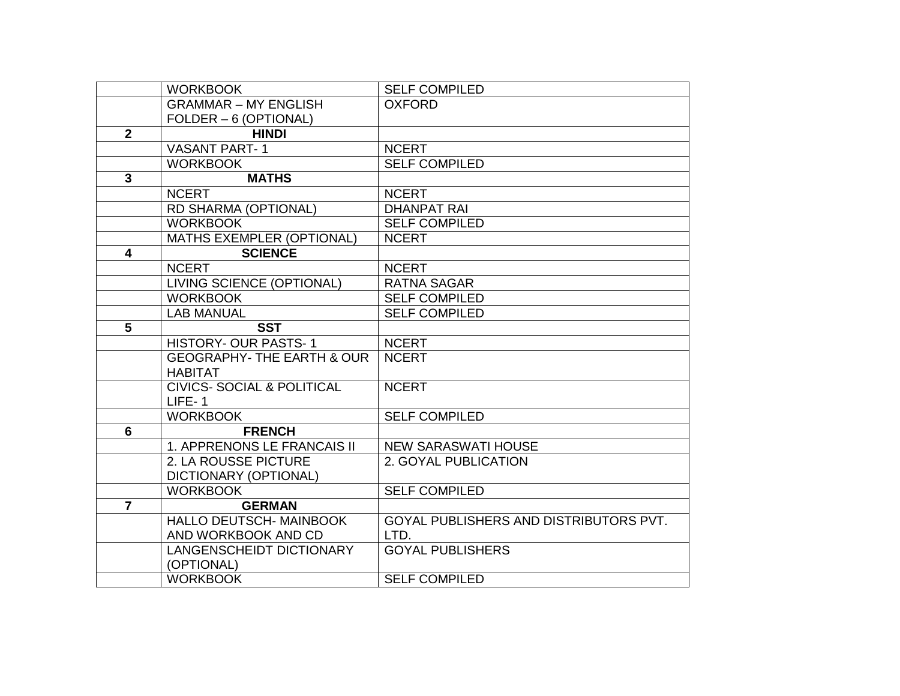|                         | <b>WORKBOOK</b>                                         | <b>SELF COMPILED</b>                   |
|-------------------------|---------------------------------------------------------|----------------------------------------|
|                         | <b>GRAMMAR - MY ENGLISH</b>                             | <b>OXFORD</b>                          |
|                         | FOLDER - 6 (OPTIONAL)                                   |                                        |
| $\overline{2}$          | <b>HINDI</b>                                            |                                        |
|                         | <b>VASANT PART-1</b>                                    | <b>NCERT</b>                           |
|                         | <b>WORKBOOK</b>                                         | <b>SELF COMPILED</b>                   |
| $\overline{3}$          | <b>MATHS</b>                                            |                                        |
|                         | <b>NCERT</b>                                            | <b>NCERT</b>                           |
|                         | RD SHARMA (OPTIONAL)                                    | <b>DHANPAT RAI</b>                     |
|                         | <b>WORKBOOK</b>                                         | <b>SELF COMPILED</b>                   |
|                         | <b>MATHS EXEMPLER (OPTIONAL)</b>                        | <b>NCERT</b>                           |
| $\overline{\mathbf{4}}$ | <b>SCIENCE</b>                                          |                                        |
|                         | <b>NCERT</b>                                            | <b>NCERT</b>                           |
|                         | LIVING SCIENCE (OPTIONAL)                               | <b>RATNA SAGAR</b>                     |
|                         | <b>WORKBOOK</b>                                         | <b>SELF COMPILED</b>                   |
|                         | <b>LAB MANUAL</b>                                       | <b>SELF COMPILED</b>                   |
| 5                       | <b>SST</b>                                              |                                        |
|                         | <b>HISTORY- OUR PASTS-1</b>                             | <b>NCERT</b>                           |
|                         | <b>GEOGRAPHY- THE EARTH &amp; OUR</b><br><b>HABITAT</b> | <b>NCERT</b>                           |
|                         | <b>CIVICS- SOCIAL &amp; POLITICAL</b>                   | <b>NCERT</b>                           |
|                         | $LIEE-1$                                                |                                        |
|                         | <b>WORKBOOK</b>                                         | <b>SELF COMPILED</b>                   |
| $6\phantom{1}$          | <b>FRENCH</b>                                           |                                        |
|                         | 1. APPRENONS LE FRANCAIS II                             | <b>NEW SARASWATI HOUSE</b>             |
|                         | 2. LA ROUSSE PICTURE                                    | 2. GOYAL PUBLICATION                   |
|                         | DICTIONARY (OPTIONAL)                                   |                                        |
|                         | <b>WORKBOOK</b>                                         | <b>SELF COMPILED</b>                   |
| $\overline{7}$          | <b>GERMAN</b>                                           |                                        |
|                         | HALLO DEUTSCH- MAINBOOK                                 | GOYAL PUBLISHERS AND DISTRIBUTORS PVT. |
|                         | AND WORKBOOK AND CD                                     | LTD.                                   |
|                         | LANGENSCHEIDT DICTIONARY<br>(OPTIONAL)                  | <b>GOYAL PUBLISHERS</b>                |
|                         | <b>WORKBOOK</b>                                         | <b>SELF COMPILED</b>                   |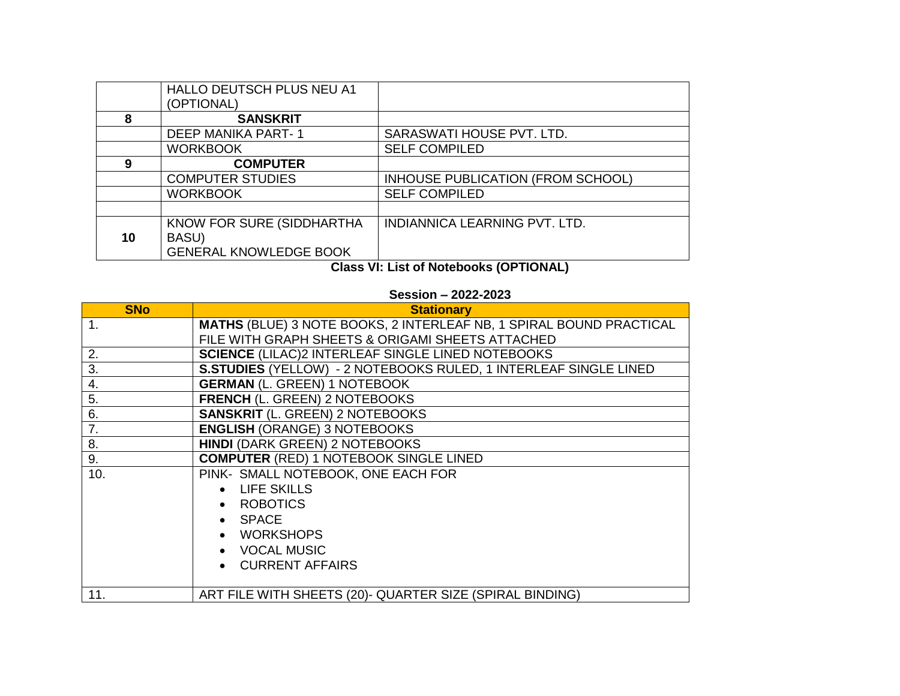|    | HALLO DEUTSCH PLUS NEU A1     |                                   |
|----|-------------------------------|-----------------------------------|
|    | (OPTIONAL)                    |                                   |
| 8  | <b>SANSKRIT</b>               |                                   |
|    | <b>DEEP MANIKA PART-1</b>     | SARASWATI HOUSE PVT. LTD.         |
|    | <b>WORKBOOK</b>               | <b>SELF COMPILED</b>              |
| 9  | <b>COMPUTER</b>               |                                   |
|    | <b>COMPUTER STUDIES</b>       | INHOUSE PUBLICATION (FROM SCHOOL) |
|    | <b>WORKBOOK</b>               | <b>SELF COMPILED</b>              |
|    |                               |                                   |
|    | KNOW FOR SURE (SIDDHARTHA     | INDIANNICA LEARNING PVT. LTD.     |
| 10 | BASU)                         |                                   |
|    | <b>GENERAL KNOWLEDGE BOOK</b> |                                   |

**Class VI: List of Notebooks (OPTIONAL)**

## **Session – 2022-2023**

| <b>SNo</b>     | <b>Stationary</b>                                                          |  |
|----------------|----------------------------------------------------------------------------|--|
| $\mathbf{1}$ . | <b>MATHS (BLUE) 3 NOTE BOOKS, 2 INTERLEAF NB, 1 SPIRAL BOUND PRACTICAL</b> |  |
|                | FILE WITH GRAPH SHEETS & ORIGAMI SHEETS ATTACHED                           |  |
| 2.             | <b>SCIENCE (LILAC)2 INTERLEAF SINGLE LINED NOTEBOOKS</b>                   |  |
| 3.             | S.STUDIES (YELLOW) - 2 NOTEBOOKS RULED, 1 INTERLEAF SINGLE LINED           |  |
| 4.             | <b>GERMAN (L. GREEN) 1 NOTEBOOK</b>                                        |  |
| 5.             | <b>FRENCH (L. GREEN) 2 NOTEBOOKS</b>                                       |  |
| 6.             | <b>SANSKRIT (L. GREEN) 2 NOTEBOOKS</b>                                     |  |
| 7.             | <b>ENGLISH (ORANGE) 3 NOTEBOOKS</b>                                        |  |
| 8.             | <b>HINDI (DARK GREEN) 2 NOTEBOOKS</b>                                      |  |
| 9.             | <b>COMPUTER (RED) 1 NOTEBOOK SINGLE LINED</b>                              |  |
| 10.            | PINK- SMALL NOTEBOOK, ONE EACH FOR                                         |  |
|                | • LIFE SKILLS                                                              |  |
|                | • ROBOTICS                                                                 |  |
|                | $\bullet$ SPACE                                                            |  |
|                | • WORKSHOPS                                                                |  |
|                | • VOCAL MUSIC                                                              |  |
|                | • CURRENT AFFAIRS                                                          |  |
|                |                                                                            |  |
| 11.            | ART FILE WITH SHEETS (20)- QUARTER SIZE (SPIRAL BINDING)                   |  |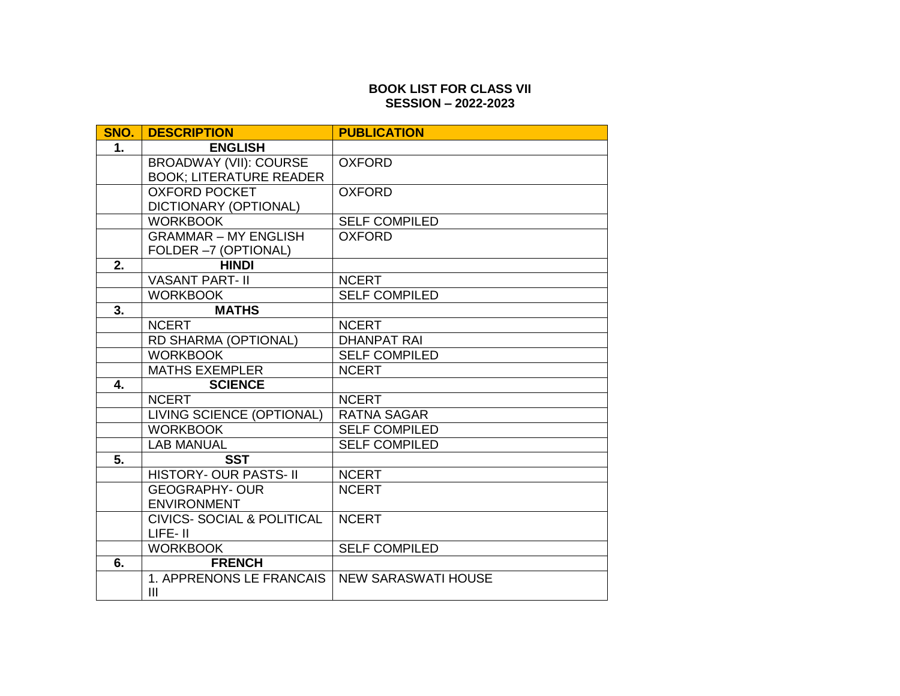### **BOOK LIST FOR CLASS VII SESSION – 2022-2023**

| SNO.             | <b>DESCRIPTION</b>                        | <b>PUBLICATION</b>                 |
|------------------|-------------------------------------------|------------------------------------|
| 1.               | <b>ENGLISH</b>                            |                                    |
|                  | <b>BROADWAY (VII): COURSE</b>             | <b>OXFORD</b>                      |
|                  | <b>BOOK; LITERATURE READER</b>            |                                    |
|                  | <b>OXFORD POCKET</b>                      | <b>OXFORD</b>                      |
|                  | DICTIONARY (OPTIONAL)                     |                                    |
|                  | <b>WORKBOOK</b>                           | <b>SELF COMPILED</b>               |
|                  | <b>GRAMMAR - MY ENGLISH</b>               | <b>OXFORD</b>                      |
|                  | FOLDER -7 (OPTIONAL)<br><b>HINDI</b>      |                                    |
| 2.               |                                           |                                    |
|                  | <b>VASANT PART- II</b><br><b>WORKBOOK</b> | <b>NCERT</b>                       |
| $\overline{3}$ . | <b>MATHS</b>                              | <b>SELF COMPILED</b>               |
|                  | <b>NCERT</b>                              |                                    |
|                  |                                           | <b>NCERT</b><br><b>DHANPAT RAI</b> |
|                  | RD SHARMA (OPTIONAL)<br><b>WORKBOOK</b>   | <b>SELF COMPILED</b>               |
|                  | <b>MATHS EXEMPLER</b>                     | <b>NCERT</b>                       |
| 4.               | <b>SCIENCE</b>                            |                                    |
|                  | <b>NCERT</b>                              | <b>NCERT</b>                       |
|                  | <b>LIVING SCIENCE (OPTIONAL)</b>          | <b>RATNA SAGAR</b>                 |
|                  | <b>WORKBOOK</b>                           | <b>SELF COMPILED</b>               |
|                  | <b>LAB MANUAL</b>                         | <b>SELF COMPILED</b>               |
| 5.               | <b>SST</b>                                |                                    |
|                  | <b>HISTORY- OUR PASTS- II</b>             | <b>NCERT</b>                       |
|                  | <b>GEOGRAPHY-OUR</b>                      | <b>NCERT</b>                       |
|                  | <b>ENVIRONMENT</b>                        |                                    |
|                  | <b>CIVICS- SOCIAL &amp; POLITICAL</b>     | <b>NCERT</b>                       |
|                  | LIFE-II                                   |                                    |
|                  | <b>WORKBOOK</b>                           | <b>SELF COMPILED</b>               |
| 6.               | <b>FRENCH</b>                             |                                    |
|                  | 1. APPRENONS LE FRANCAIS                  | <b>NEW SARASWATI HOUSE</b>         |
|                  | III                                       |                                    |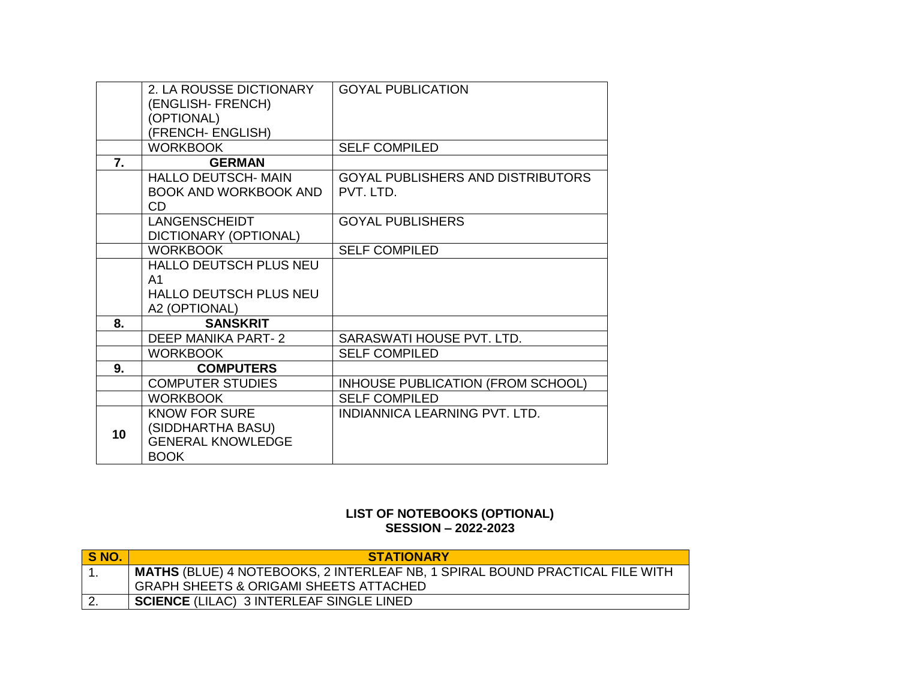|                 | 2. LA ROUSSE DICTIONARY       | <b>GOYAL PUBLICATION</b>          |
|-----------------|-------------------------------|-----------------------------------|
|                 | (ENGLISH- FRENCH)             |                                   |
|                 | (OPTIONAL)                    |                                   |
|                 | (FRENCH- ENGLISH)             |                                   |
|                 | <b>WORKBOOK</b>               | <b>SELF COMPILED</b>              |
| 7.              | <b>GERMAN</b>                 |                                   |
|                 | <b>HALLO DEUTSCH- MAIN</b>    | GOYAL PUBLISHERS AND DISTRIBUTORS |
|                 | <b>BOOK AND WORKBOOK AND</b>  | PVT. LTD.                         |
|                 | CD.                           |                                   |
|                 | <b>LANGENSCHEIDT</b>          | <b>GOYAL PUBLISHERS</b>           |
|                 | DICTIONARY (OPTIONAL)         |                                   |
|                 | <b>WORKBOOK</b>               | <b>SELF COMPILED</b>              |
|                 | <b>HALLO DEUTSCH PLUS NEU</b> |                                   |
|                 | A <sub>1</sub>                |                                   |
|                 | <b>HALLO DEUTSCH PLUS NEU</b> |                                   |
|                 | A2 (OPTIONAL)                 |                                   |
| 8.              | <b>SANSKRIT</b>               |                                   |
|                 | DEEP MANIKA PART-2            | SARASWATI HOUSE PVT. LTD.         |
|                 | <b>WORKBOOK</b>               | <b>SELF COMPILED</b>              |
| 9.              | <b>COMPUTERS</b>              |                                   |
|                 | <b>COMPUTER STUDIES</b>       | INHOUSE PUBLICATION (FROM SCHOOL) |
|                 | <b>WORKBOOK</b>               | <b>SELF COMPILED</b>              |
|                 | <b>KNOW FOR SURE</b>          | INDIANNICA LEARNING PVT. LTD.     |
| 10 <sup>1</sup> | (SIDDHARTHA BASU)             |                                   |
|                 | <b>GENERAL KNOWLEDGE</b>      |                                   |
|                 | <b>BOOK</b>                   |                                   |

#### **LIST OF NOTEBOOKS (OPTIONAL) SESSION – 2022-2023**

| S NO. | <b>STATIONARY</b>                                                                   |
|-------|-------------------------------------------------------------------------------------|
|       | <b>MATHS (BLUE) 4 NOTEBOOKS, 2 INTERLEAF NB, 1 SPIRAL BOUND PRACTICAL FILE WITH</b> |
|       | <b>GRAPH SHEETS &amp; ORIGAMI SHEETS ATTACHED</b>                                   |
|       | <b>SCIENCE (LILAC) 3 INTERLEAF SINGLE LINED</b>                                     |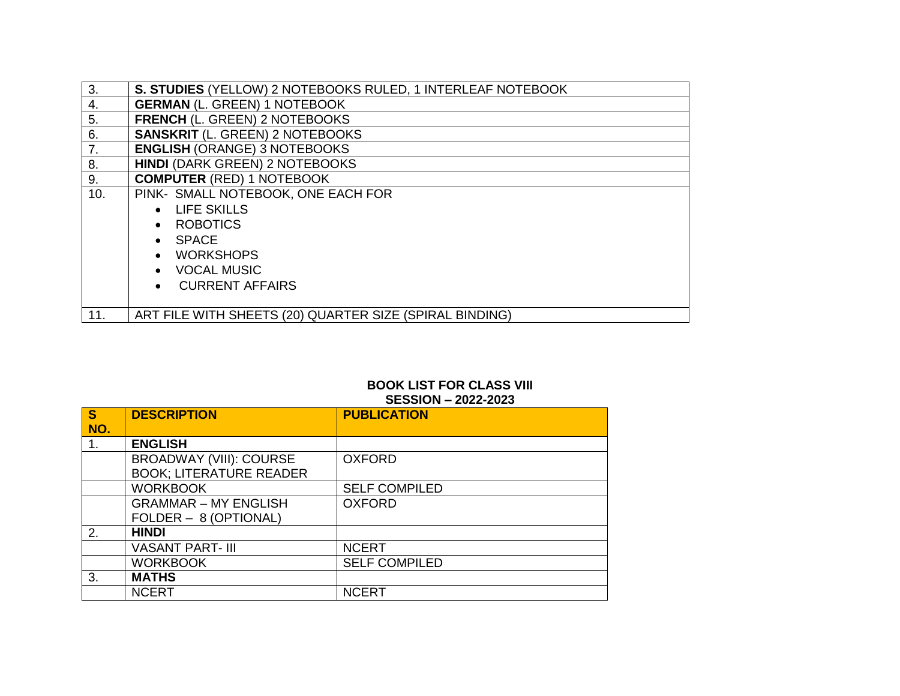| 3.  | S. STUDIES (YELLOW) 2 NOTEBOOKS RULED, 1 INTERLEAF NOTEBOOK |
|-----|-------------------------------------------------------------|
| 4.  | <b>GERMAN (L. GREEN) 1 NOTEBOOK</b>                         |
| 5.  | FRENCH (L. GREEN) 2 NOTEBOOKS                               |
| 6.  | <b>SANSKRIT (L. GREEN) 2 NOTEBOOKS</b>                      |
| 7.  | <b>ENGLISH (ORANGE) 3 NOTEBOOKS</b>                         |
| 8.  | <b>HINDI (DARK GREEN) 2 NOTEBOOKS</b>                       |
| 9.  | <b>COMPUTER (RED) 1 NOTEBOOK</b>                            |
| 10. | PINK- SMALL NOTEBOOK, ONE EACH FOR                          |
|     | • LIFE SKILLS                                               |
|     | • ROBOTICS                                                  |
|     | $\bullet$ SPACE                                             |
|     | • WORKSHOPS                                                 |
|     | • VOCAL MUSIC                                               |
|     | • CURRENT AFFAIRS                                           |
|     |                                                             |
| 11. | ART FILE WITH SHEETS (20) QUARTER SIZE (SPIRAL BINDING)     |

### **BOOK LIST FOR CLASS VIII SESSION – 2022-2023**

| $\mathbf{s}$<br>NO. | <b>DESCRIPTION</b>             | <b>PUBLICATION</b>   |
|---------------------|--------------------------------|----------------------|
| 1.                  | <b>ENGLISH</b>                 |                      |
|                     | <b>BROADWAY (VIII): COURSE</b> | <b>OXFORD</b>        |
|                     | <b>BOOK; LITERATURE READER</b> |                      |
|                     | <b>WORKBOOK</b>                | <b>SELF COMPILED</b> |
|                     | <b>GRAMMAR - MY ENGLISH</b>    | <b>OXFORD</b>        |
|                     | FOLDER - 8 (OPTIONAL)          |                      |
| 2.                  | <b>HINDI</b>                   |                      |
|                     | <b>VASANT PART- III</b>        | <b>NCERT</b>         |
|                     | <b>WORKBOOK</b>                | <b>SELF COMPILED</b> |
| 3.                  | <b>MATHS</b>                   |                      |
|                     | <b>NCERT</b>                   | <b>NCERT</b>         |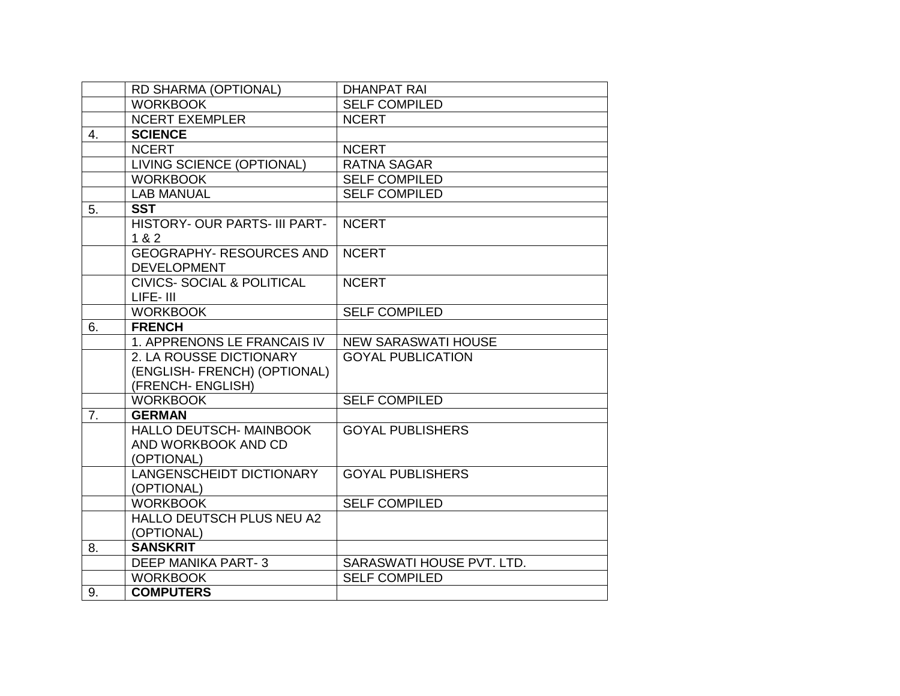|    | RD SHARMA (OPTIONAL)                                                         | <b>DHANPAT RAI</b>         |
|----|------------------------------------------------------------------------------|----------------------------|
|    | <b>WORKBOOK</b>                                                              | <b>SELF COMPILED</b>       |
|    | <b>NCERT EXEMPLER</b>                                                        | <b>NCERT</b>               |
| 4. | <b>SCIENCE</b>                                                               |                            |
|    | <b>NCERT</b>                                                                 | <b>NCERT</b>               |
|    | LIVING SCIENCE (OPTIONAL)                                                    | <b>RATNA SAGAR</b>         |
|    | <b>WORKBOOK</b>                                                              | <b>SELF COMPILED</b>       |
|    | <b>LAB MANUAL</b>                                                            | <b>SELF COMPILED</b>       |
| 5. | <b>SST</b>                                                                   |                            |
|    | HISTORY- OUR PARTS- III PART-<br>1 & 2                                       | <b>NCERT</b>               |
|    | <b>GEOGRAPHY- RESOURCES AND</b><br><b>DEVELOPMENT</b>                        | <b>NCERT</b>               |
|    | <b>CIVICS- SOCIAL &amp; POLITICAL</b><br>LIFE-III                            | <b>NCERT</b>               |
|    | <b>WORKBOOK</b>                                                              | <b>SELF COMPILED</b>       |
| 6. | <b>FRENCH</b>                                                                |                            |
|    | 1. APPRENONS LE FRANCAIS IV                                                  | <b>NEW SARASWATI HOUSE</b> |
|    | 2. LA ROUSSE DICTIONARY<br>(ENGLISH- FRENCH) (OPTIONAL)<br>(FRENCH- ENGLISH) | <b>GOYAL PUBLICATION</b>   |
|    | <b>WORKBOOK</b>                                                              | <b>SELF COMPILED</b>       |
| 7. | <b>GERMAN</b>                                                                |                            |
|    | <b>HALLO DEUTSCH- MAINBOOK</b><br>AND WORKBOOK AND CD<br>(OPTIONAL)          | <b>GOYAL PUBLISHERS</b>    |
|    | <b>LANGENSCHEIDT DICTIONARY</b><br>(OPTIONAL)                                | <b>GOYAL PUBLISHERS</b>    |
|    | <b>WORKBOOK</b>                                                              | <b>SELF COMPILED</b>       |
|    | HALLO DEUTSCH PLUS NEU A2<br>(OPTIONAL)                                      |                            |
| 8. | <b>SANSKRIT</b>                                                              |                            |
|    | <b>DEEP MANIKA PART-3</b>                                                    | SARASWATI HOUSE PVT. LTD.  |
|    | <b>WORKBOOK</b>                                                              | <b>SELF COMPILED</b>       |
| 9. | <b>COMPUTERS</b>                                                             |                            |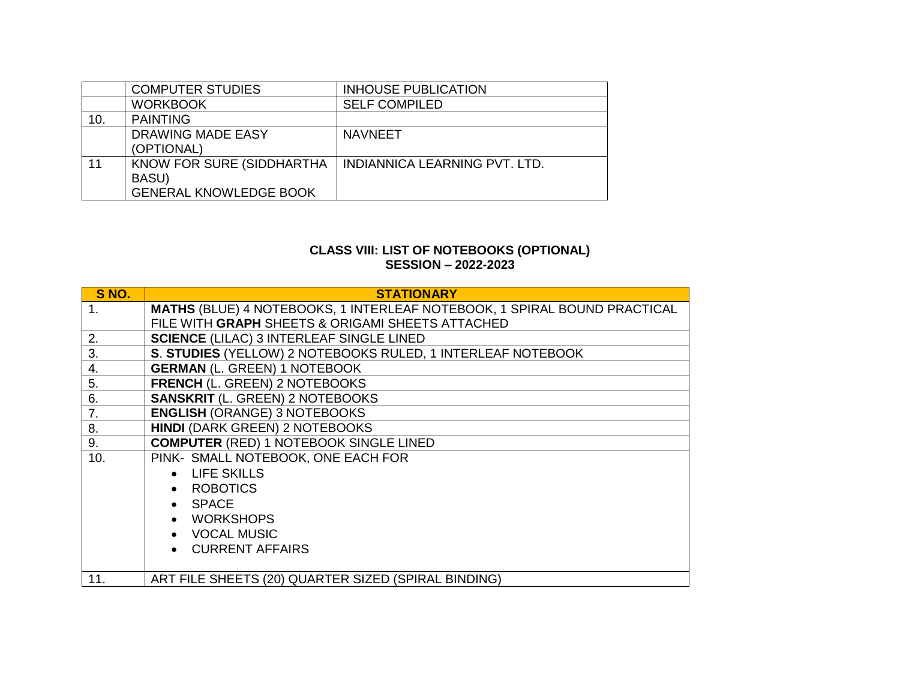|     | <b>COMPUTER STUDIES</b>                                             | <b>INHOUSE PUBLICATION</b>    |
|-----|---------------------------------------------------------------------|-------------------------------|
|     | <b>WORKBOOK</b>                                                     | <b>SELF COMPILED</b>          |
| 10. | <b>PAINTING</b>                                                     |                               |
|     | DRAWING MADE EASY<br>(OPTIONAL)                                     | <b>NAVNEET</b>                |
| 11  | KNOW FOR SURE (SIDDHARTHA<br>BASU)<br><b>GENERAL KNOWLEDGE BOOK</b> | INDIANNICA LEARNING PVT. LTD. |

#### **CLASS VIII: LIST OF NOTEBOOKS (OPTIONAL) SESSION – 2022-2023**

| S NO.            | <b>STATIONARY</b>                                                        |
|------------------|--------------------------------------------------------------------------|
| 1.               | MATHS (BLUE) 4 NOTEBOOKS, 1 INTERLEAF NOTEBOOK, 1 SPIRAL BOUND PRACTICAL |
|                  | FILE WITH GRAPH SHEETS & ORIGAMI SHEETS ATTACHED                         |
| 2.               | <b>SCIENCE (LILAC) 3 INTERLEAF SINGLE LINED</b>                          |
| $\overline{3}$ . | S. STUDIES (YELLOW) 2 NOTEBOOKS RULED, 1 INTERLEAF NOTEBOOK              |
| 4.               | <b>GERMAN (L. GREEN) 1 NOTEBOOK</b>                                      |
| 5.               | <b>FRENCH (L. GREEN) 2 NOTEBOOKS</b>                                     |
| 6.               | <b>SANSKRIT (L. GREEN) 2 NOTEBOOKS</b>                                   |
| 7.               | <b>ENGLISH (ORANGE) 3 NOTEBOOKS</b>                                      |
| 8.               | <b>HINDI (DARK GREEN) 2 NOTEBOOKS</b>                                    |
| 9.               | <b>COMPUTER (RED) 1 NOTEBOOK SINGLE LINED</b>                            |
| 10.              | PINK- SMALL NOTEBOOK, ONE EACH FOR                                       |
|                  | • LIFE SKILLS                                                            |
|                  | • ROBOTICS                                                               |
|                  | • SPACE                                                                  |
|                  | • WORKSHOPS                                                              |
|                  | • VOCAL MUSIC                                                            |
|                  | • CURRENT AFFAIRS                                                        |
|                  |                                                                          |
| 11.              | ART FILE SHEETS (20) QUARTER SIZED (SPIRAL BINDING)                      |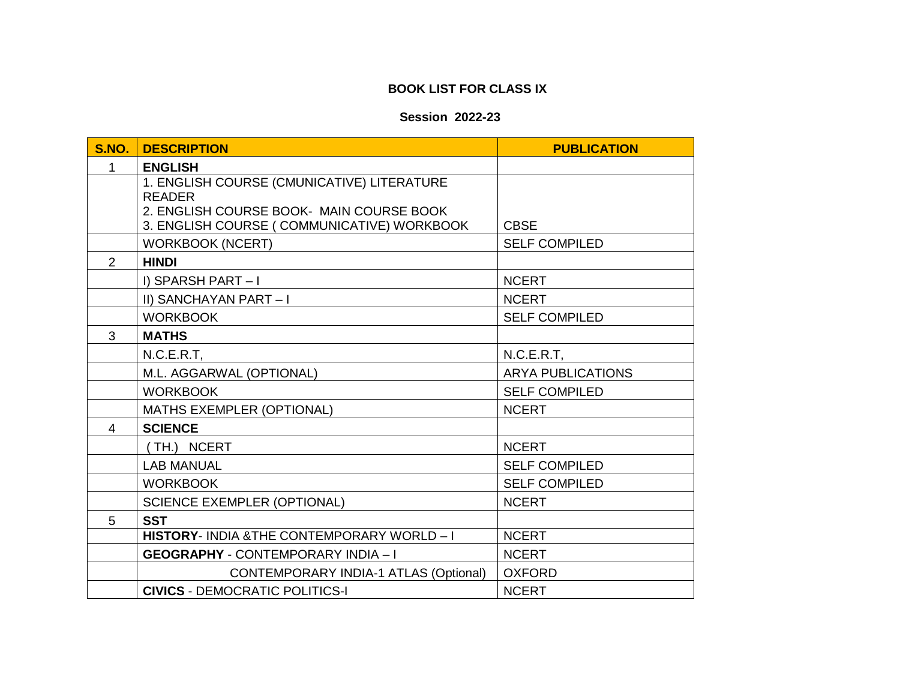# **BOOK LIST FOR CLASS IX**

## **Session 2022-23**

| <b>S.NO.</b> | <b>DESCRIPTION</b>                                        | <b>PUBLICATION</b>       |
|--------------|-----------------------------------------------------------|--------------------------|
| 1            | <b>ENGLISH</b>                                            |                          |
|              | 1. ENGLISH COURSE (CMUNICATIVE) LITERATURE                |                          |
|              | <b>READER</b><br>2. ENGLISH COURSE BOOK- MAIN COURSE BOOK |                          |
|              | 3. ENGLISH COURSE (COMMUNICATIVE) WORKBOOK                | <b>CBSE</b>              |
|              | <b>WORKBOOK (NCERT)</b>                                   | <b>SELF COMPILED</b>     |
| 2            | <b>HINDI</b>                                              |                          |
|              | I) SPARSH PART $-1$                                       | <b>NCERT</b>             |
|              | II) SANCHAYAN PART-I                                      | <b>NCERT</b>             |
|              | <b>WORKBOOK</b>                                           | <b>SELF COMPILED</b>     |
| 3            | <b>MATHS</b>                                              |                          |
|              | N.C.E.R.T.                                                | N.C.E.R.T,               |
|              | M.L. AGGARWAL (OPTIONAL)                                  | <b>ARYA PUBLICATIONS</b> |
|              | <b>WORKBOOK</b>                                           | <b>SELF COMPILED</b>     |
|              | <b>MATHS EXEMPLER (OPTIONAL)</b>                          | <b>NCERT</b>             |
| 4            | <b>SCIENCE</b>                                            |                          |
|              | TH.) NCERT                                                | <b>NCERT</b>             |
|              | <b>LAB MANUAL</b>                                         | <b>SELF COMPILED</b>     |
|              | <b>WORKBOOK</b>                                           | <b>SELF COMPILED</b>     |
|              | <b>SCIENCE EXEMPLER (OPTIONAL)</b>                        | <b>NCERT</b>             |
| 5            | <b>SST</b>                                                |                          |
|              | HISTORY- INDIA & THE CONTEMPORARY WORLD - I               | <b>NCERT</b>             |
|              | <b>GEOGRAPHY - CONTEMPORARY INDIA - I</b>                 | <b>NCERT</b>             |
|              | <b>CONTEMPORARY INDIA-1 ATLAS (Optional)</b>              | <b>OXFORD</b>            |
|              | <b>CIVICS - DEMOCRATIC POLITICS-I</b>                     | <b>NCERT</b>             |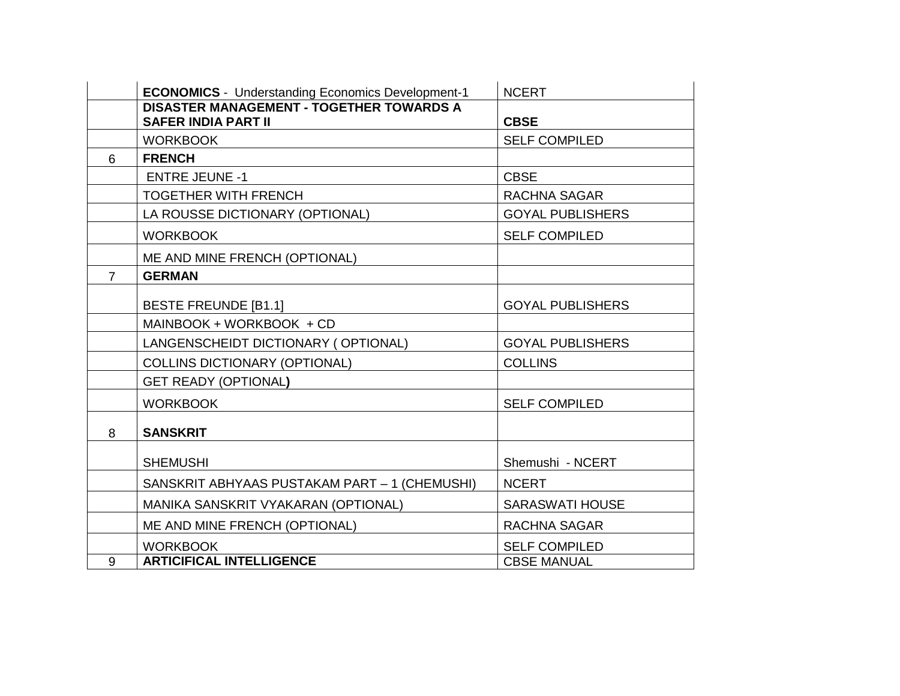|                | <b>ECONOMICS</b> - Understanding Economics Development-1                      | <b>NCERT</b>            |
|----------------|-------------------------------------------------------------------------------|-------------------------|
|                | <b>DISASTER MANAGEMENT - TOGETHER TOWARDS A</b><br><b>SAFER INDIA PART II</b> | <b>CBSE</b>             |
|                | <b>WORKBOOK</b>                                                               | <b>SELF COMPILED</b>    |
| 6              | <b>FRENCH</b>                                                                 |                         |
|                | <b>ENTRE JEUNE -1</b>                                                         | <b>CBSE</b>             |
|                | <b>TOGETHER WITH FRENCH</b>                                                   | RACHNA SAGAR            |
|                | LA ROUSSE DICTIONARY (OPTIONAL)                                               | <b>GOYAL PUBLISHERS</b> |
|                | <b>WORKBOOK</b>                                                               | <b>SELF COMPILED</b>    |
|                | ME AND MINE FRENCH (OPTIONAL)                                                 |                         |
| $\overline{7}$ | <b>GERMAN</b>                                                                 |                         |
|                | <b>BESTE FREUNDE [B1.1]</b>                                                   | <b>GOYAL PUBLISHERS</b> |
|                | MAINBOOK + WORKBOOK + CD                                                      |                         |
|                | LANGENSCHEIDT DICTIONARY (OPTIONAL)                                           | <b>GOYAL PUBLISHERS</b> |
|                | <b>COLLINS DICTIONARY (OPTIONAL)</b>                                          | <b>COLLINS</b>          |
|                | <b>GET READY (OPTIONAL)</b>                                                   |                         |
|                | <b>WORKBOOK</b>                                                               | <b>SELF COMPILED</b>    |
| 8              | <b>SANSKRIT</b>                                                               |                         |
|                | <b>SHEMUSHI</b>                                                               | Shemushi - NCERT        |
|                | SANSKRIT ABHYAAS PUSTAKAM PART - 1 (CHEMUSHI)                                 | <b>NCERT</b>            |
|                | MANIKA SANSKRIT VYAKARAN (OPTIONAL)                                           | <b>SARASWATI HOUSE</b>  |
|                | ME AND MINE FRENCH (OPTIONAL)                                                 | RACHNA SAGAR            |
|                | <b>WORKBOOK</b>                                                               | <b>SELF COMPILED</b>    |
| 9              | <b>ARTICIFICAL INTELLIGENCE</b>                                               | <b>CBSE MANUAL</b>      |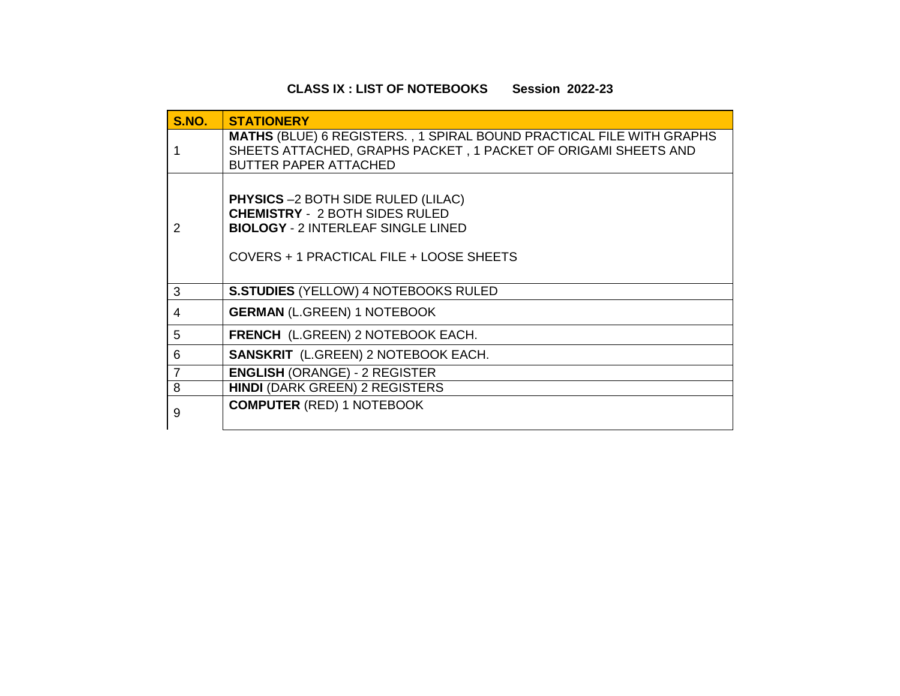# **CLASS IX : LIST OF NOTEBOOKS Session 2022-23**

| <b>S.NO.</b>   | <b>STATIONERY</b>                                                                                                                                                             |  |  |  |
|----------------|-------------------------------------------------------------------------------------------------------------------------------------------------------------------------------|--|--|--|
|                | <b>MATHS (BLUE) 6 REGISTERS., 1 SPIRAL BOUND PRACTICAL FILE WITH GRAPHS</b><br>SHEETS ATTACHED, GRAPHS PACKET, 1 PACKET OF ORIGAMI SHEETS AND<br><b>BUTTER PAPER ATTACHED</b> |  |  |  |
| 2              | <b>PHYSICS</b> -2 BOTH SIDE RULED (LILAC)<br><b>CHEMISTRY - 2 BOTH SIDES RULED</b><br><b>BIOLOGY - 2 INTERLEAF SINGLE LINED</b><br>COVERS + 1 PRACTICAL FILE + LOOSE SHEETS   |  |  |  |
| 3              | <b>S.STUDIES (YELLOW) 4 NOTEBOOKS RULED</b>                                                                                                                                   |  |  |  |
| 4              | <b>GERMAN (L.GREEN) 1 NOTEBOOK</b>                                                                                                                                            |  |  |  |
| 5              | <b>FRENCH</b> (L.GREEN) 2 NOTEBOOK EACH.                                                                                                                                      |  |  |  |
| 6              | <b>SANSKRIT</b> (L.GREEN) 2 NOTEBOOK EACH.                                                                                                                                    |  |  |  |
| $\overline{7}$ | <b>ENGLISH (ORANGE) - 2 REGISTER</b>                                                                                                                                          |  |  |  |
| 8              | <b>HINDI (DARK GREEN) 2 REGISTERS</b>                                                                                                                                         |  |  |  |
| 9              | <b>COMPUTER (RED) 1 NOTEBOOK</b>                                                                                                                                              |  |  |  |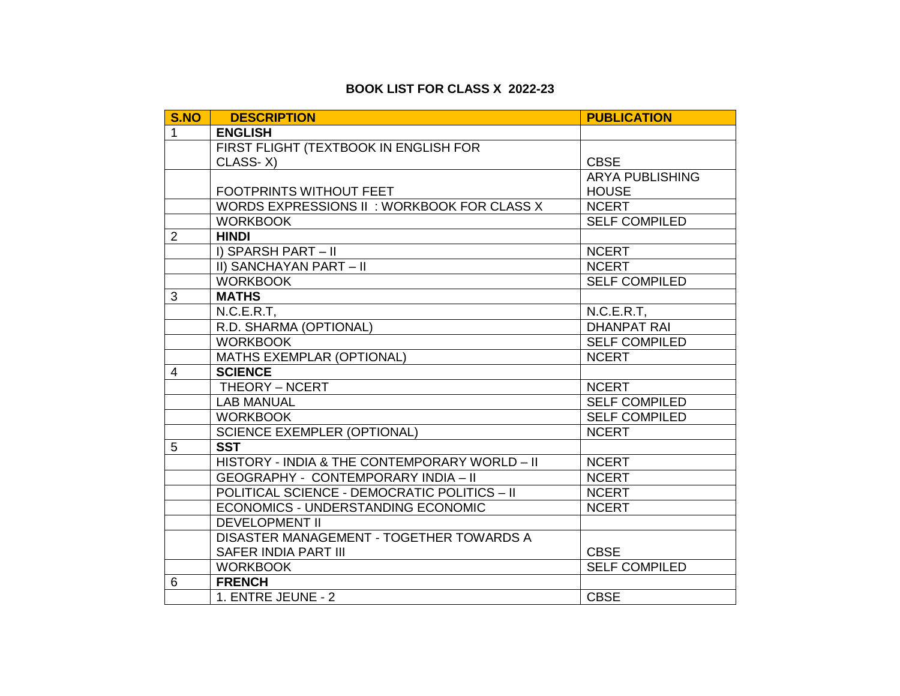## **BOOK LIST FOR CLASS X 2022-23**

| S.NO           | <b>DESCRIPTION</b>                            | <b>PUBLICATION</b>     |
|----------------|-----------------------------------------------|------------------------|
| $\mathbf{1}$   | <b>ENGLISH</b>                                |                        |
|                | FIRST FLIGHT (TEXTBOOK IN ENGLISH FOR         |                        |
|                | CLASS-X)                                      | <b>CBSE</b>            |
|                |                                               | <b>ARYA PUBLISHING</b> |
|                | <b>FOOTPRINTS WITHOUT FEET</b>                | <b>HOUSE</b>           |
|                | WORDS EXPRESSIONS II: WORKBOOK FOR CLASS X    | <b>NCERT</b>           |
|                | <b>WORKBOOK</b>                               | <b>SELF COMPILED</b>   |
| 2              | <b>HINDI</b>                                  |                        |
|                | I) SPARSH PART - II                           | <b>NCERT</b>           |
|                | II) SANCHAYAN PART - II                       | <b>NCERT</b>           |
|                | <b>WORKBOOK</b>                               | <b>SELF COMPILED</b>   |
| 3              | <b>MATHS</b>                                  |                        |
|                | $N.C.E.R.T$ ,                                 | N.C.E.R.T,             |
|                | R.D. SHARMA (OPTIONAL)                        | <b>DHANPAT RAI</b>     |
|                | <b>WORKBOOK</b>                               | <b>SELF COMPILED</b>   |
|                | <b>MATHS EXEMPLAR (OPTIONAL)</b>              | <b>NCERT</b>           |
| $\overline{4}$ | <b>SCIENCE</b>                                |                        |
|                | THEORY - NCERT                                | <b>NCERT</b>           |
|                | <b>LAB MANUAL</b>                             | <b>SELF COMPILED</b>   |
|                | <b>WORKBOOK</b>                               | <b>SELF COMPILED</b>   |
|                | <b>SCIENCE EXEMPLER (OPTIONAL)</b>            | <b>NCERT</b>           |
| 5              | <b>SST</b>                                    |                        |
|                | HISTORY - INDIA & THE CONTEMPORARY WORLD - II | <b>NCERT</b>           |
|                | <b>GEOGRAPHY - CONTEMPORARY INDIA - II</b>    | <b>NCERT</b>           |
|                | POLITICAL SCIENCE - DEMOCRATIC POLITICS - II  | <b>NCERT</b>           |
|                | ECONOMICS - UNDERSTANDING ECONOMIC            | <b>NCERT</b>           |
|                | <b>DEVELOPMENT II</b>                         |                        |
|                | DISASTER MANAGEMENT - TOGETHER TOWARDS A      |                        |
|                | SAFER INDIA PART III                          | <b>CBSE</b>            |
|                | <b>WORKBOOK</b>                               | <b>SELF COMPILED</b>   |
| 6              | <b>FRENCH</b>                                 |                        |
|                | 1. ENTRE JEUNE - 2                            | <b>CBSE</b>            |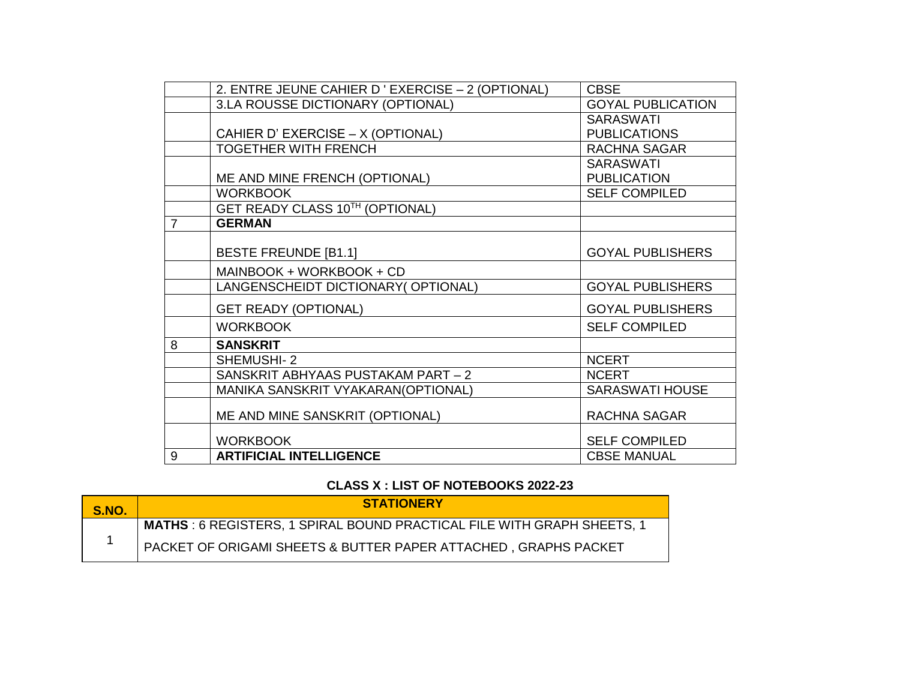|                | 2. ENTRE JEUNE CAHIER D'EXERCISE - 2 (OPTIONAL) | <b>CBSE</b>              |
|----------------|-------------------------------------------------|--------------------------|
|                | 3.LA ROUSSE DICTIONARY (OPTIONAL)               | <b>GOYAL PUBLICATION</b> |
|                |                                                 | <b>SARASWATI</b>         |
|                | CAHIER D' EXERCISE - X (OPTIONAL)               | <b>PUBLICATIONS</b>      |
|                | <b>TOGETHER WITH FRENCH</b>                     | <b>RACHNA SAGAR</b>      |
|                |                                                 | <b>SARASWATI</b>         |
|                | ME AND MINE FRENCH (OPTIONAL)                   | <b>PUBLICATION</b>       |
|                | <b>WORKBOOK</b>                                 | <b>SELF COMPILED</b>     |
|                | GET READY CLASS 10TH (OPTIONAL)                 |                          |
| $\overline{7}$ | <b>GERMAN</b>                                   |                          |
|                |                                                 |                          |
|                | <b>BESTE FREUNDE [B1.1]</b>                     | <b>GOYAL PUBLISHERS</b>  |
|                | MAINBOOK + WORKBOOK + CD                        |                          |
|                | LANGENSCHEIDT DICTIONARY (OPTIONAL)             | <b>GOYAL PUBLISHERS</b>  |
|                | <b>GET READY (OPTIONAL)</b>                     | <b>GOYAL PUBLISHERS</b>  |
|                | <b>WORKBOOK</b>                                 | <b>SELF COMPILED</b>     |
| 8              | <b>SANSKRIT</b>                                 |                          |
|                | <b>SHEMUSHI-2</b>                               | <b>NCERT</b>             |
|                | SANSKRIT ABHYAAS PUSTAKAM PART - 2              | <b>NCERT</b>             |
|                | MANIKA SANSKRIT VYAKARAN(OPTIONAL)              | <b>SARASWATI HOUSE</b>   |
|                | ME AND MINE SANSKRIT (OPTIONAL)                 | RACHNA SAGAR             |
|                | <b>WORKBOOK</b>                                 | <b>SELF COMPILED</b>     |
| 9              | <b>ARTIFICIAL INTELLIGENCE</b>                  | <b>CBSE MANUAL</b>       |

## **CLASS X : LIST OF NOTEBOOKS 2022-23**

| ∣ S.NO. | <b>STATIONERY</b>                                                             |
|---------|-------------------------------------------------------------------------------|
|         | <b>MATHS: 6 REGISTERS, 1 SPIRAL BOUND PRACTICAL FILE WITH GRAPH SHEETS, 1</b> |
|         | PACKET OF ORIGAMI SHEETS & BUTTER PAPER ATTACHED, GRAPHS PACKET               |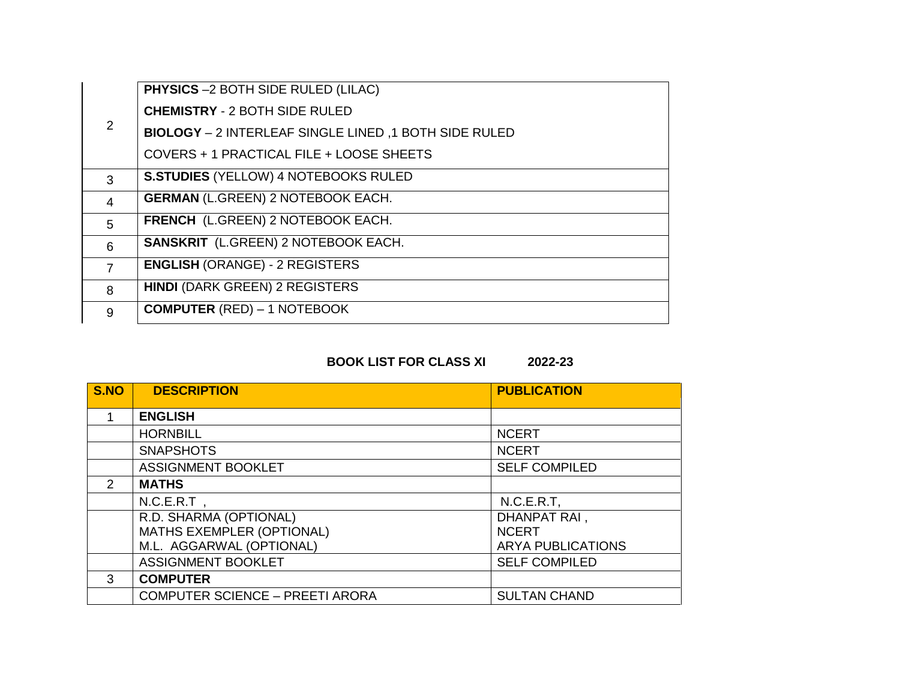| 2              | PHYSICS -2 BOTH SIDE RULED (LILAC)                    |
|----------------|-------------------------------------------------------|
|                | <b>CHEMISTRY - 2 BOTH SIDE RULED</b>                  |
|                | BIOLOGY - 2 INTERLEAF SINGLE LINED, 1 BOTH SIDE RULED |
|                | COVERS + 1 PRACTICAL FILE + LOOSE SHEETS              |
| 3              | <b>S.STUDIES (YELLOW) 4 NOTEBOOKS RULED</b>           |
| $\overline{4}$ | <b>GERMAN (L.GREEN) 2 NOTEBOOK EACH.</b>              |
| 5              | <b>FRENCH</b> (L.GREEN) 2 NOTEBOOK EACH.              |
| 6              | <b>SANSKRIT</b> (L.GREEN) 2 NOTEBOOK EACH.            |
| $\overline{7}$ | <b>ENGLISH (ORANGE) - 2 REGISTERS</b>                 |
| 8              | <b>HINDI (DARK GREEN) 2 REGISTERS</b>                 |
| 9              | <b>COMPUTER (RED) - 1 NOTEBOOK</b>                    |

# **BOOK LIST FOR CLASS XI 2022-23**

| S.NO          | <b>DESCRIPTION</b>                     | <b>PUBLICATION</b>       |
|---------------|----------------------------------------|--------------------------|
|               | <b>ENGLISH</b>                         |                          |
|               | <b>HORNBILL</b>                        | <b>NCERT</b>             |
|               | <b>SNAPSHOTS</b>                       | <b>NCERT</b>             |
|               | <b>ASSIGNMENT BOOKLET</b>              | <b>SELF COMPILED</b>     |
| $\mathcal{P}$ | <b>MATHS</b>                           |                          |
|               | $N.C.E.R.T$ ,                          | N.C.E.R.T,               |
|               | R.D. SHARMA (OPTIONAL)                 | DHANPAT RAI,             |
|               | MATHS EXEMPLER (OPTIONAL)              | <b>NCERT</b>             |
|               | M.L. AGGARWAL (OPTIONAL)               | <b>ARYA PUBLICATIONS</b> |
|               | <b>ASSIGNMENT BOOKLET</b>              | <b>SELF COMPILED</b>     |
| $\mathcal{S}$ | <b>COMPUTER</b>                        |                          |
|               | <b>COMPUTER SCIENCE - PREETI ARORA</b> | <b>SULTAN CHAND</b>      |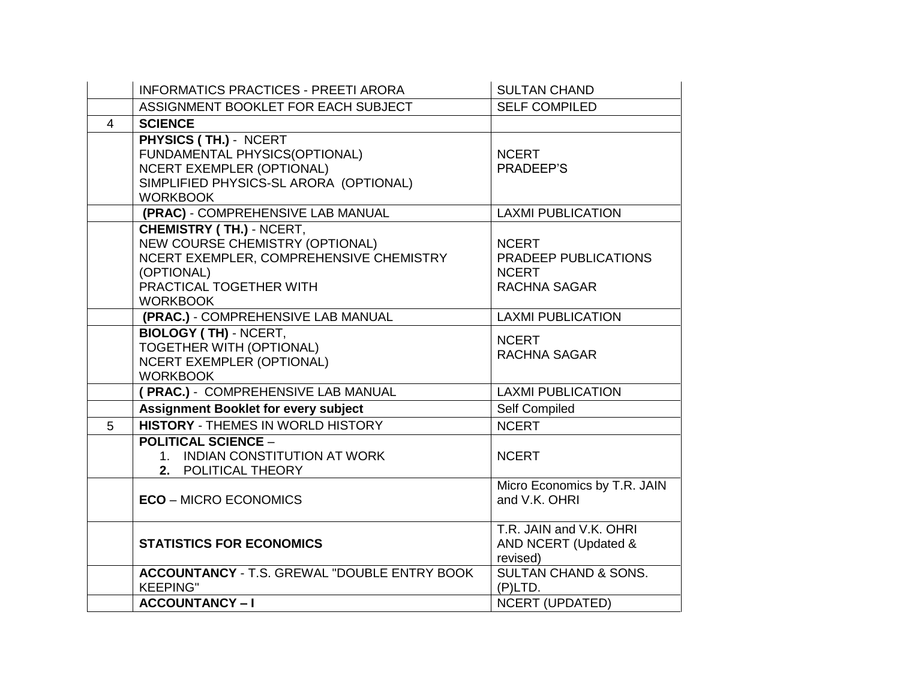|                | <b>INFORMATICS PRACTICES - PREETI ARORA</b>                                                                                                                               | <b>SULTAN CHAND</b>                                                  |
|----------------|---------------------------------------------------------------------------------------------------------------------------------------------------------------------------|----------------------------------------------------------------------|
|                | ASSIGNMENT BOOKLET FOR EACH SUBJECT                                                                                                                                       | <b>SELF COMPILED</b>                                                 |
| $\overline{4}$ | <b>SCIENCE</b>                                                                                                                                                            |                                                                      |
|                | PHYSICS (TH.) - NCERT<br>FUNDAMENTAL PHYSICS(OPTIONAL)<br><b>NCERT EXEMPLER (OPTIONAL)</b><br>SIMPLIFIED PHYSICS-SL ARORA (OPTIONAL)<br><b>WORKBOOK</b>                   | <b>NCERT</b><br>PRADEEP'S                                            |
|                | (PRAC) - COMPREHENSIVE LAB MANUAL                                                                                                                                         | <b>LAXMI PUBLICATION</b>                                             |
|                | <b>CHEMISTRY (TH.) - NCERT,</b><br>NEW COURSE CHEMISTRY (OPTIONAL)<br>NCERT EXEMPLER, COMPREHENSIVE CHEMISTRY<br>(OPTIONAL)<br>PRACTICAL TOGETHER WITH<br><b>WORKBOOK</b> | <b>NCERT</b><br>PRADEEP PUBLICATIONS<br><b>NCERT</b><br>RACHNA SAGAR |
|                | (PRAC.) - COMPREHENSIVE LAB MANUAL                                                                                                                                        | <b>LAXMI PUBLICATION</b>                                             |
|                | <b>BIOLOGY (TH) - NCERT,</b><br>TOGETHER WITH (OPTIONAL)<br><b>NCERT EXEMPLER (OPTIONAL)</b><br><b>WORKBOOK</b>                                                           | <b>NCERT</b><br><b>RACHNA SAGAR</b>                                  |
|                | (PRAC.) - COMPREHENSIVE LAB MANUAL                                                                                                                                        | <b>LAXMI PUBLICATION</b>                                             |
|                | <b>Assignment Booklet for every subject</b>                                                                                                                               | Self Compiled                                                        |
| 5              | <b>HISTORY - THEMES IN WORLD HISTORY</b>                                                                                                                                  | <b>NCERT</b>                                                         |
|                | <b>POLITICAL SCIENCE -</b><br>1. INDIAN CONSTITUTION AT WORK<br>2. POLITICAL THEORY                                                                                       | <b>NCERT</b>                                                         |
|                | <b>ECO - MICRO ECONOMICS</b>                                                                                                                                              | Micro Economics by T.R. JAIN<br>and V.K. OHRI                        |
|                | <b>STATISTICS FOR ECONOMICS</b>                                                                                                                                           | T.R. JAIN and V.K. OHRI<br>AND NCERT (Updated &<br>revised)          |
|                | <b>ACCOUNTANCY - T.S. GREWAL "DOUBLE ENTRY BOOK</b><br><b>KEEPING"</b>                                                                                                    | <b>SULTAN CHAND &amp; SONS.</b><br>(P)LTD.                           |
|                | <b>ACCOUNTANCY-I</b>                                                                                                                                                      | <b>NCERT (UPDATED)</b>                                               |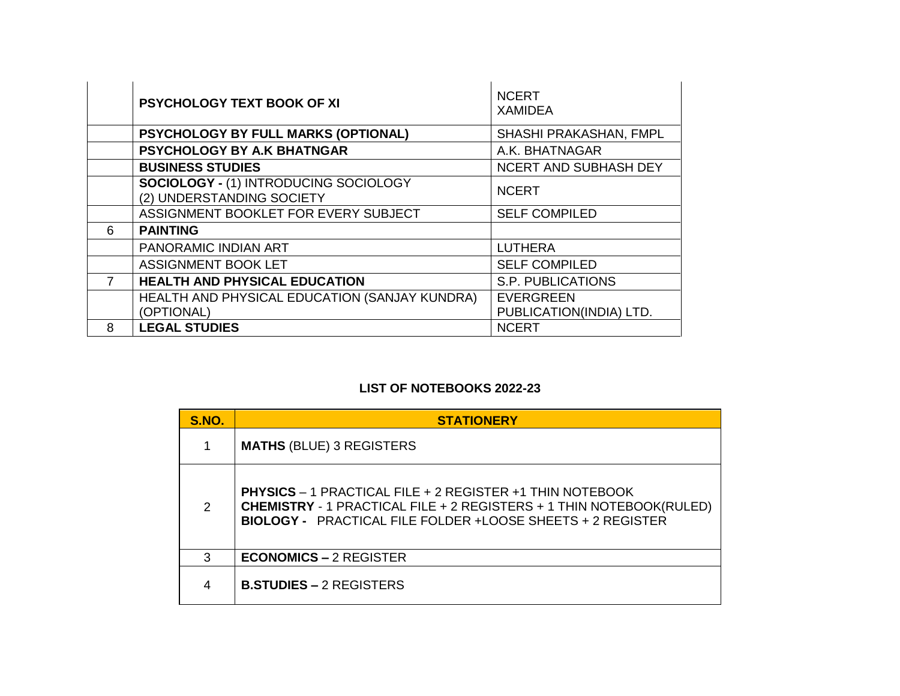|   | <b>PSYCHOLOGY TEXT BOOK OF XI</b>                                  | <b>NCERT</b><br><b>XAMIDEA</b>              |
|---|--------------------------------------------------------------------|---------------------------------------------|
|   | <b>PSYCHOLOGY BY FULL MARKS (OPTIONAL)</b>                         | SHASHI PRAKASHAN, FMPL                      |
|   | PSYCHOLOGY BY A.K BHATNGAR                                         | A.K. BHATNAGAR                              |
|   | <b>BUSINESS STUDIES</b>                                            | <b>NCERT AND SUBHASH DEY</b>                |
|   | SOCIOLOGY - (1) INTRODUCING SOCIOLOGY<br>(2) UNDERSTANDING SOCIETY | <b>NCERT</b>                                |
|   | ASSIGNMENT BOOKLET FOR EVERY SUBJECT                               | <b>SELF COMPILED</b>                        |
| 6 | <b>PAINTING</b>                                                    |                                             |
|   | PANORAMIC INDIAN ART                                               | <b>LUTHERA</b>                              |
|   | <b>ASSIGNMENT BOOK LET</b>                                         | <b>SELF COMPILED</b>                        |
| 7 | <b>HEALTH AND PHYSICAL EDUCATION</b>                               | <b>S.P. PUBLICATIONS</b>                    |
|   | HEALTH AND PHYSICAL EDUCATION (SANJAY KUNDRA)<br>(OPTIONAL)        | <b>EVERGREEN</b><br>PUBLICATION(INDIA) LTD. |
| 8 | <b>LEGAL STUDIES</b>                                               | <b>NCERT</b>                                |

# **LIST OF NOTEBOOKS 2022-23**

| <b>S.NO.</b> | <b>STATIONERY</b>                                                                                                                                                                                                  |
|--------------|--------------------------------------------------------------------------------------------------------------------------------------------------------------------------------------------------------------------|
|              | <b>MATHS (BLUE) 3 REGISTERS</b>                                                                                                                                                                                    |
| 2            | <b>PHYSICS</b> – 1 PRACTICAL FILE + 2 REGISTER +1 THIN NOTEBOOK<br><b>CHEMISTRY - 1 PRACTICAL FILE + 2 REGISTERS + 1 THIN NOTEBOOK(RULED)</b><br><b>BIOLOGY - PRACTICAL FILE FOLDER +LOOSE SHEETS + 2 REGISTER</b> |
| 3            | <b>ECONOMICS – 2 REGISTER</b>                                                                                                                                                                                      |
| 4            | <b>B.STUDIES – 2 REGISTERS</b>                                                                                                                                                                                     |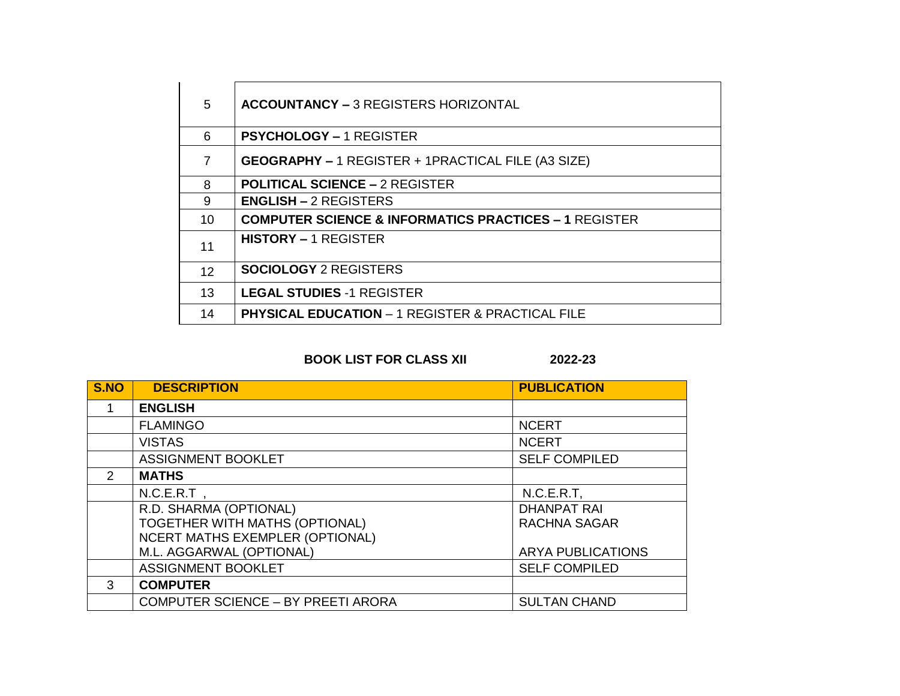| 5               | <b>ACCOUNTANCY - 3 REGISTERS HORIZONTAL</b>                      |
|-----------------|------------------------------------------------------------------|
| 6               | <b>PSYCHOLOGY - 1 REGISTER</b>                                   |
| 7               | <b>GEOGRAPHY - 1 REGISTER + 1PRACTICAL FILE (A3 SIZE)</b>        |
| 8               | <b>POLITICAL SCIENCE - 2 REGISTER</b>                            |
| 9               | <b>ENGLISH - 2 REGISTERS</b>                                     |
| 10              | <b>COMPUTER SCIENCE &amp; INFORMATICS PRACTICES - 1 REGISTER</b> |
| 11              | <b>HISTORY – 1 REGISTER</b>                                      |
| 12 <sup>2</sup> | <b>SOCIOLOGY 2 REGISTERS</b>                                     |
| 13              | <b>LEGAL STUDIES -1 REGISTER</b>                                 |
| 14              | <b>PHYSICAL EDUCATION - 1 REGISTER &amp; PRACTICAL FILE</b>      |

**BOOK LIST FOR CLASS XII 2022-23**

| S.NO          | <b>DESCRIPTION</b>                        | <b>PUBLICATION</b>       |
|---------------|-------------------------------------------|--------------------------|
|               | <b>ENGLISH</b>                            |                          |
|               | <b>FLAMINGO</b>                           | <b>NCERT</b>             |
|               | <b>VISTAS</b>                             | <b>NCERT</b>             |
|               | <b>ASSIGNMENT BOOKLET</b>                 | <b>SELF COMPILED</b>     |
| $\mathcal{P}$ | <b>MATHS</b>                              |                          |
|               | $N.C.E.R.T$ ,                             | $N.C.E.R.T$ ,            |
|               | R.D. SHARMA (OPTIONAL)                    | <b>DHANPAT RAI</b>       |
|               | TOGETHER WITH MATHS (OPTIONAL)            | <b>RACHNA SAGAR</b>      |
|               | NCERT MATHS EXEMPLER (OPTIONAL)           |                          |
|               | M.L. AGGARWAL (OPTIONAL)                  | <b>ARYA PUBLICATIONS</b> |
|               | <b>ASSIGNMENT BOOKLET</b>                 | <b>SELF COMPILED</b>     |
| 3             | <b>COMPUTER</b>                           |                          |
|               | <b>COMPUTER SCIENCE - BY PREETI ARORA</b> | <b>SULTAN CHAND</b>      |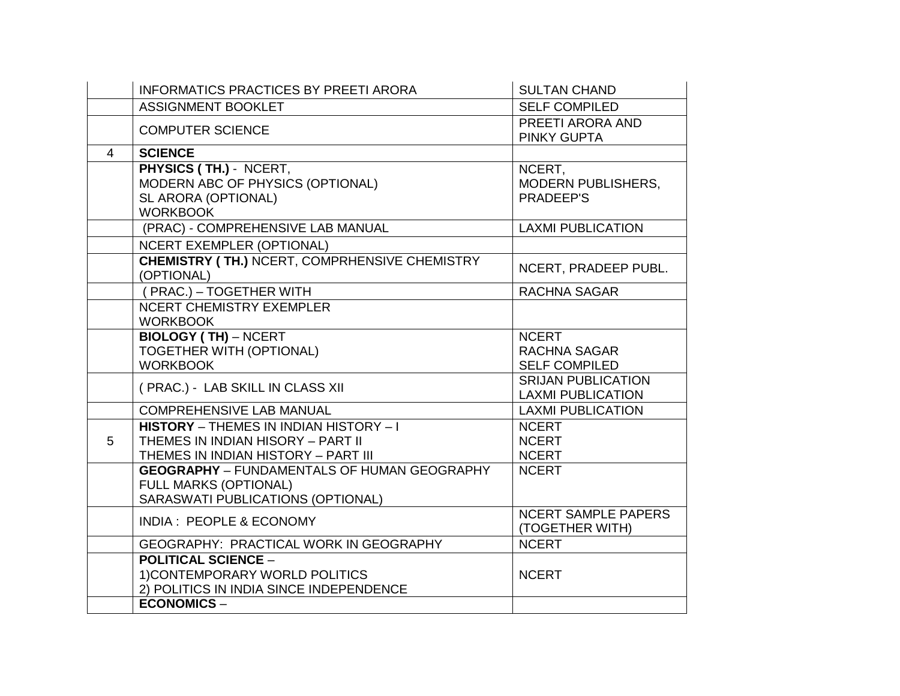|   | <b>INFORMATICS PRACTICES BY PREETI ARORA</b>                                                                                  | <b>SULTAN CHAND</b>                                         |
|---|-------------------------------------------------------------------------------------------------------------------------------|-------------------------------------------------------------|
|   | <b>ASSIGNMENT BOOKLET</b>                                                                                                     | <b>SELF COMPILED</b>                                        |
|   | <b>COMPUTER SCIENCE</b>                                                                                                       | PREETI ARORA AND<br><b>PINKY GUPTA</b>                      |
| 4 | <b>SCIENCE</b>                                                                                                                |                                                             |
|   | PHYSICS (TH.) - NCERT,<br>MODERN ABC OF PHYSICS (OPTIONAL)<br>SL ARORA (OPTIONAL)<br><b>WORKBOOK</b>                          | NCERT.<br><b>MODERN PUBLISHERS,</b><br>PRADEEP'S            |
|   | (PRAC) - COMPREHENSIVE LAB MANUAL                                                                                             | <b>LAXMI PUBLICATION</b>                                    |
|   | <b>NCERT EXEMPLER (OPTIONAL)</b>                                                                                              |                                                             |
|   | <b>CHEMISTRY (TH.) NCERT, COMPRHENSIVE CHEMISTRY</b><br>(OPTIONAL)                                                            | NCERT, PRADEEP PUBL.                                        |
|   | (PRAC.) - TOGETHER WITH                                                                                                       | <b>RACHNA SAGAR</b>                                         |
|   | <b>NCERT CHEMISTRY EXEMPLER</b><br><b>WORKBOOK</b>                                                                            |                                                             |
|   | <b>BIOLOGY (TH) - NCERT</b><br><b>TOGETHER WITH (OPTIONAL)</b><br><b>WORKBOOK</b>                                             | <b>NCERT</b><br><b>RACHNA SAGAR</b><br><b>SELF COMPILED</b> |
|   | (PRAC.) - LAB SKILL IN CLASS XII                                                                                              | <b>SRIJAN PUBLICATION</b><br><b>LAXMI PUBLICATION</b>       |
|   | <b>COMPREHENSIVE LAB MANUAL</b>                                                                                               | <b>LAXMI PUBLICATION</b>                                    |
| 5 | <b>HISTORY</b> - THEMES IN INDIAN HISTORY - I<br>THEMES IN INDIAN HISORY - PART II<br>THEMES IN INDIAN HISTORY - PART III     | <b>NCERT</b><br><b>NCERT</b><br><b>NCERT</b>                |
|   | <b>GEOGRAPHY</b> - FUNDAMENTALS OF HUMAN GEOGRAPHY<br><b>FULL MARKS (OPTIONAL)</b><br>SARASWATI PUBLICATIONS (OPTIONAL)       | <b>NCERT</b>                                                |
|   | INDIA: PEOPLE & ECONOMY                                                                                                       | <b>NCERT SAMPLE PAPERS</b><br>(TOGETHER WITH)               |
|   | GEOGRAPHY: PRACTICAL WORK IN GEOGRAPHY                                                                                        | <b>NCERT</b>                                                |
|   | <b>POLITICAL SCIENCE -</b><br>1) CONTEMPORARY WORLD POLITICS<br>2) POLITICS IN INDIA SINCE INDEPENDENCE<br><b>ECONOMICS -</b> | <b>NCERT</b>                                                |
|   |                                                                                                                               |                                                             |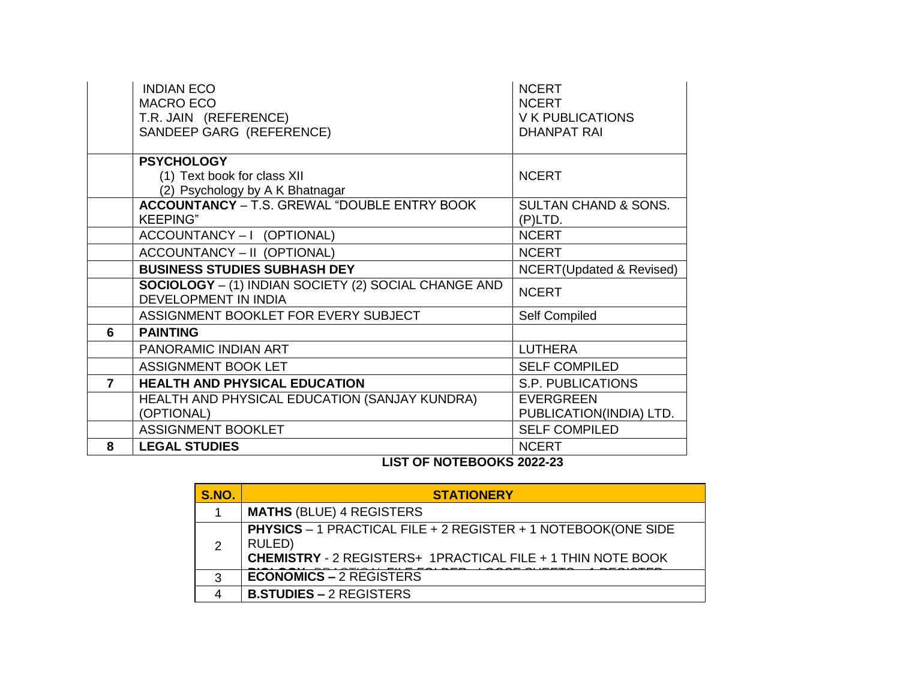|                | <b>INDIAN ECO</b>                                           | <b>NCERT</b>                        |
|----------------|-------------------------------------------------------------|-------------------------------------|
|                | <b>MACRO ECO</b>                                            | <b>NCERT</b>                        |
|                | T.R. JAIN (REFERENCE)                                       | V K PUBLICATIONS                    |
|                | SANDEEP GARG (REFERENCE)                                    | <b>DHANPAT RAI</b>                  |
|                |                                                             |                                     |
|                | <b>PSYCHOLOGY</b>                                           |                                     |
|                | (1) Text book for class XII                                 | <b>NCERT</b>                        |
|                | (2) Psychology by A K Bhatnagar                             |                                     |
|                | <b>ACCOUNTANCY</b> - T.S. GREWAL "DOUBLE ENTRY BOOK         | <b>SULTAN CHAND &amp; SONS.</b>     |
|                | <b>KEEPING</b> "                                            | (P)LTD.                             |
|                | ACCOUNTANCY-I (OPTIONAL)                                    | <b>NCERT</b>                        |
|                | ACCOUNTANCY - II (OPTIONAL)                                 | <b>NCERT</b>                        |
|                | <b>BUSINESS STUDIES SUBHASH DEY</b>                         | <b>NCERT(Updated &amp; Revised)</b> |
|                | <b>SOCIOLOGY</b> - (1) INDIAN SOCIETY (2) SOCIAL CHANGE AND | <b>NCERT</b>                        |
|                | <b>DEVELOPMENT IN INDIA</b>                                 |                                     |
|                | ASSIGNMENT BOOKLET FOR EVERY SUBJECT                        | Self Compiled                       |
| 6              | <b>PAINTING</b>                                             |                                     |
|                | PANORAMIC INDIAN ART                                        | <b>LUTHERA</b>                      |
|                | <b>ASSIGNMENT BOOK LET</b>                                  | <b>SELF COMPILED</b>                |
| $\overline{7}$ | <b>HEALTH AND PHYSICAL EDUCATION</b>                        | S.P. PUBLICATIONS                   |
|                | HEALTH AND PHYSICAL EDUCATION (SANJAY KUNDRA)               | <b>EVERGREEN</b>                    |
|                | (OPTIONAL)                                                  | PUBLICATION(INDIA) LTD.             |
|                | <b>ASSIGNMENT BOOKLET</b>                                   | <b>SELF COMPILED</b>                |
| 8              | <b>LEGAL STUDIES</b><br>1107.9511975091/20000000            | <b>NCERT</b>                        |

### **LIST OF NOTEBOOKS 2022-23**

| <b>S.NO.</b>  | <b>STATIONERY</b>                                                                                                                                    |
|---------------|------------------------------------------------------------------------------------------------------------------------------------------------------|
|               | <b>MATHS (BLUE) 4 REGISTERS</b>                                                                                                                      |
| $\mathcal{D}$ | <b>PHYSICS</b> – 1 PRACTICAL FILE + 2 REGISTER + 1 NOTEBOOK(ONE SIDE<br>RULED)<br><b>CHEMISTRY - 2 REGISTERS+ 1PRACTICAL FILE + 1 THIN NOTE BOOK</b> |
| 3             | <b>ECONOMICS – 2 REGISTERS</b>                                                                                                                       |
|               | <b>B.STUDIES - 2 REGISTERS</b>                                                                                                                       |